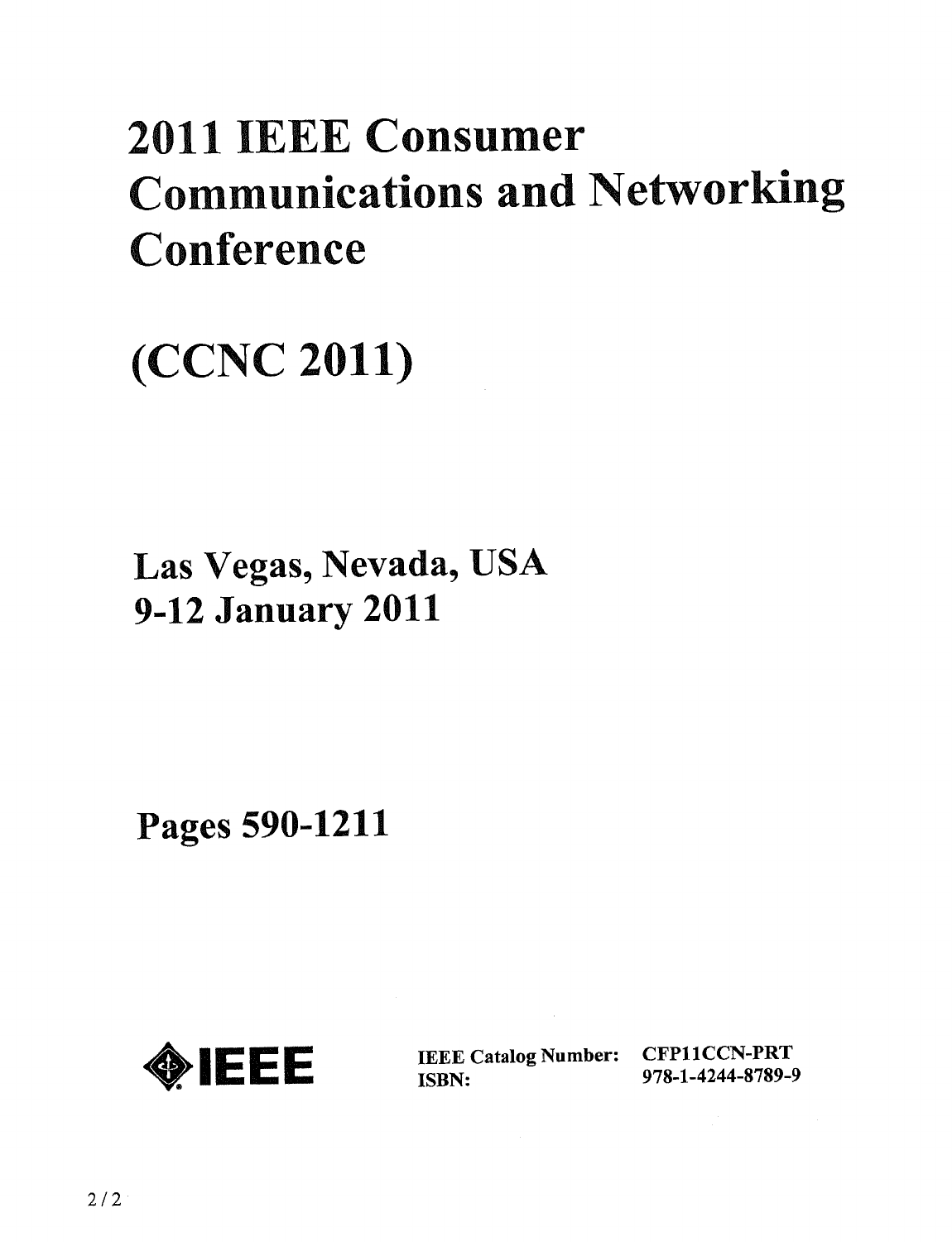# 2011 IEEE Consumer Communications and Networking **Conference**

# (CCNC 2011)

Las Vegas, Nevada, USA 9-12 January 2011

Pages 590-1211



IEEE Catalog Number: CFPllCCN-PRT ISBN: 978-1-4244-8789-9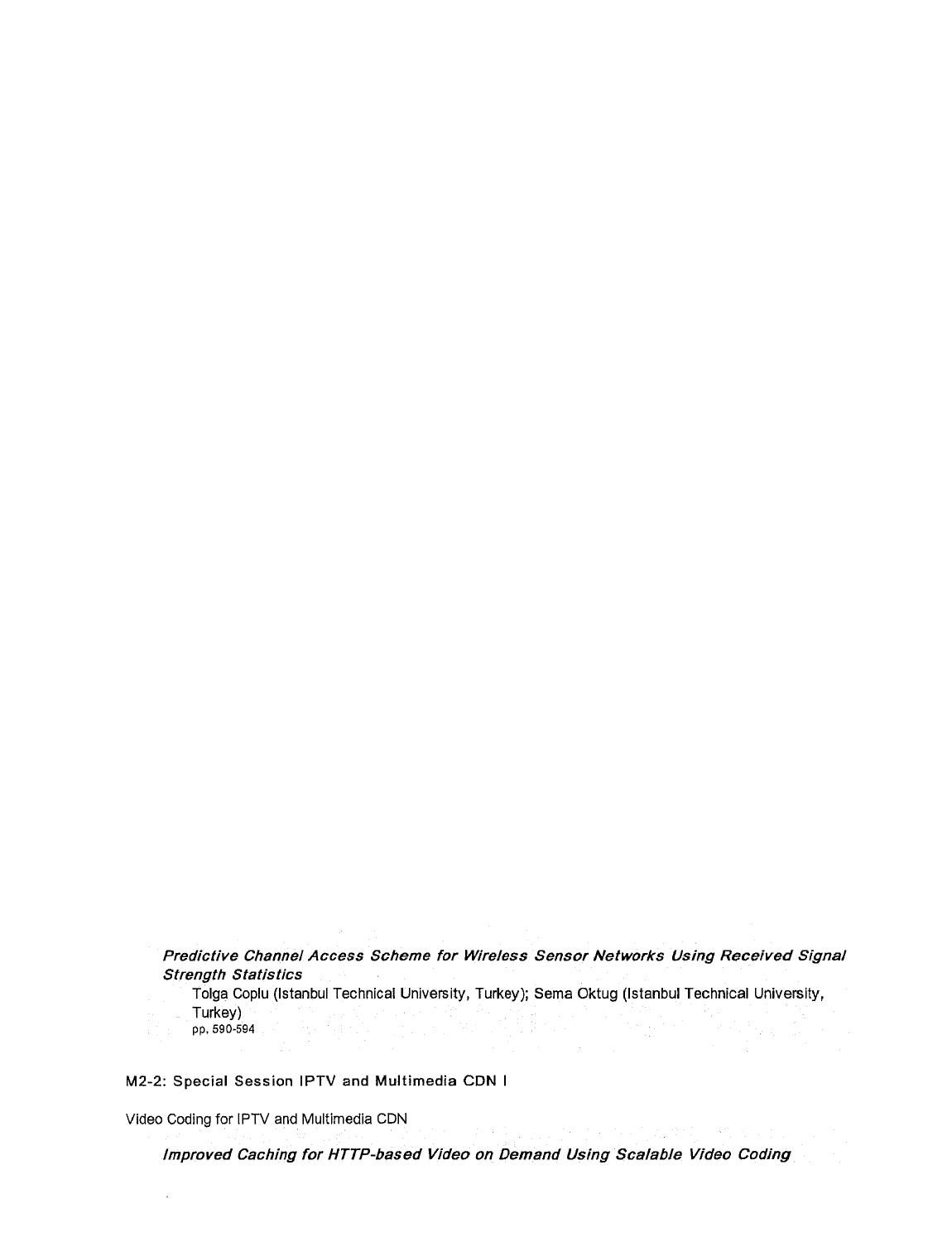Predictive Channel Access Scheme for Wireless Sensor Networks Using Received Signal Strength Statistics

Tolga Coplu (Istanbul Technical University, Turkey); Sema Oktug (Istanbul Technical University, Turkey) pp, 590-594

M2-2: Special Session IPTV and Multimedia CDN <sup>I</sup>

Video Coding for IPTV and Multimedia CDN

Improved Caching for HTTP-based Video on Demand Using Scalable Video Coding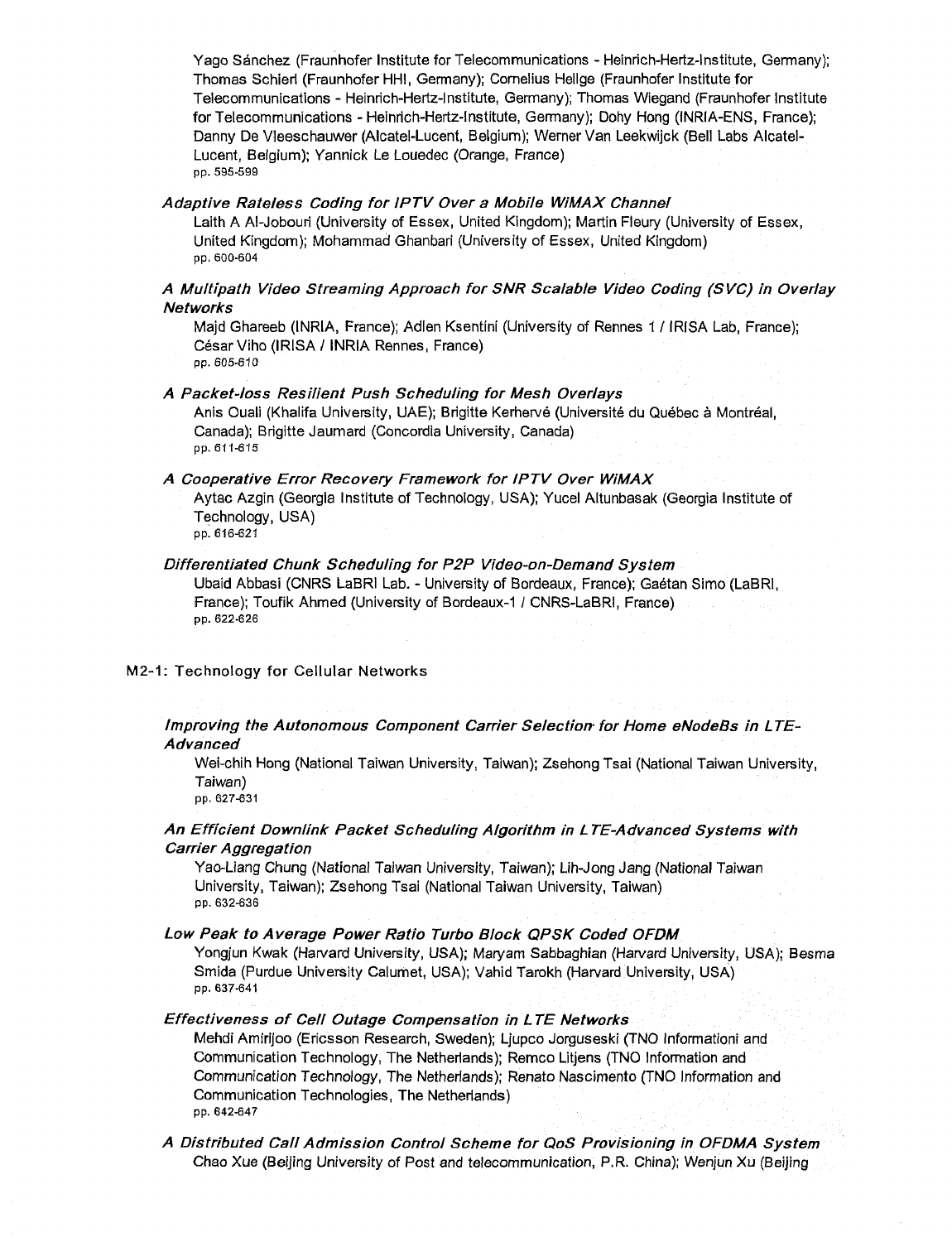Yago Sanchez (Fraunhofer Institute for Telecommunications - Heinrich-Hertz-lnstitute, Germany); Thomas Schieri (Fraunhofer HHI, Germany); Cornelius Hellge (Fraunhofer Institute for Telecommunications - Heinrich-Hertz-Institute, Germany); Thomas Wiegand (Fraunhofer Institute for Telecommunications - Heinrich-Hertz-lnstitute, Germany); Dohy Hong (INRIA-ENS, France); Danny De Vieeschauwer (Alcatel-Lucent, Belgium); Werner Van Leekwijck (Bell Labs Alcatel-Lucent, Belgium); Yannick Le Louedec (Orange, France) pp. 595-599

#### Adaptive Rate/ess Coding for IPTV Over a Mobile WiMAX Channel

Laith A Al-Jobouri (University of Essex, United Kingdom); Martin Fleury (University of Essex, United Kingdom); Mohammad Ghanbari (University of Essex, United Kingdom) pp. 600-604

# A Multipath Video Streaming Approach for SNR Scalable Video Coding (SVC) in Overlay Networks

Majd Ghareeb (INRIA, France); Adlen Ksentini (University of Rennes <sup>1</sup> / IRISA Lab, France); Cesar Viho (IRISA / INRIA Rennes, France) pp. 605-610

#### A Packet-loss Resilient Push Scheduling for Mesh Overlays

Anis Ouali (Khalifa University, UAE); Brigitte Kerhervé (Université du Québec à Montréal, Canada); Brigitte Jaumard (Concordia University, Canada) pp. 611-615

# A Cooperative Error Recovery Framework for IPTV Over WiMAX

Aytac Azgin (Georgia Institute of Technology, USA); Yucel Altunbasak (Georgia Institute of Technology, USA)

pp. 616-621

# Differentiated Chunk Scheduling for P2P Video-on-Demand System

Ubaid Abbasi (CNRS LaBRI Lab. - University of Bordeaux, France); Gaétan Simo (LaBRI France); Toufik Ahmed (University of Bordeaux-1 / CNRS-LaBRI, France) pp. 622-626

M2-1: Technology for Cellular Networks

# Improving the Autonomous Component Carrier Selection for Home eNodeBs in LTE-Advanced

Wei-chih Hong (National Taiwan University, Taiwan); Zsehong Tsai (National Taiwan University, Taiwan)

pp. 627-631

# An Efficient Downlink Packet Scheduling Algorithm in <sup>L</sup> TE-Advanced Systems with Carrier Aggregation

Yao-Liang Chung (National Taiwan University, Taiwan); Lih-Jong Jang (National Taiwan University, Taiwan); Zsehong Tsai (National Taiwan University, Taiwan) pp. 632-636

Low Peak to Average Power Ratio Turbo Block QPSK Coded OFDM

Yongjun Kwak (Harvard University, USA); Maryam Sabbaghian (Harvard University, USA); Besma Smida (Purdue University Calumet, USA); Vahid Tarokh (Harvard University, USA) pp. 637-641

# Effectiveness of Cell Outage Compensation in LTE Networks

Mehdi Amirijoo (Ericsson Research, Sweden); Ljupco Jorguseski (TNO Informationi and Communication Technology, The Netherlands); Remco Litjens (TNO Information and Communication Technology, The Netherlands); Renato Nascimento (TNO Information and Communication Technologies, The Netherlands) pp. 642-647

A Distributed Call Admission Control Scheme for QoS Provisioning in OFDMA System Chao Xue (Beijing University of Post and telecommunication, P.R. China); Wenjun Xu (Beijing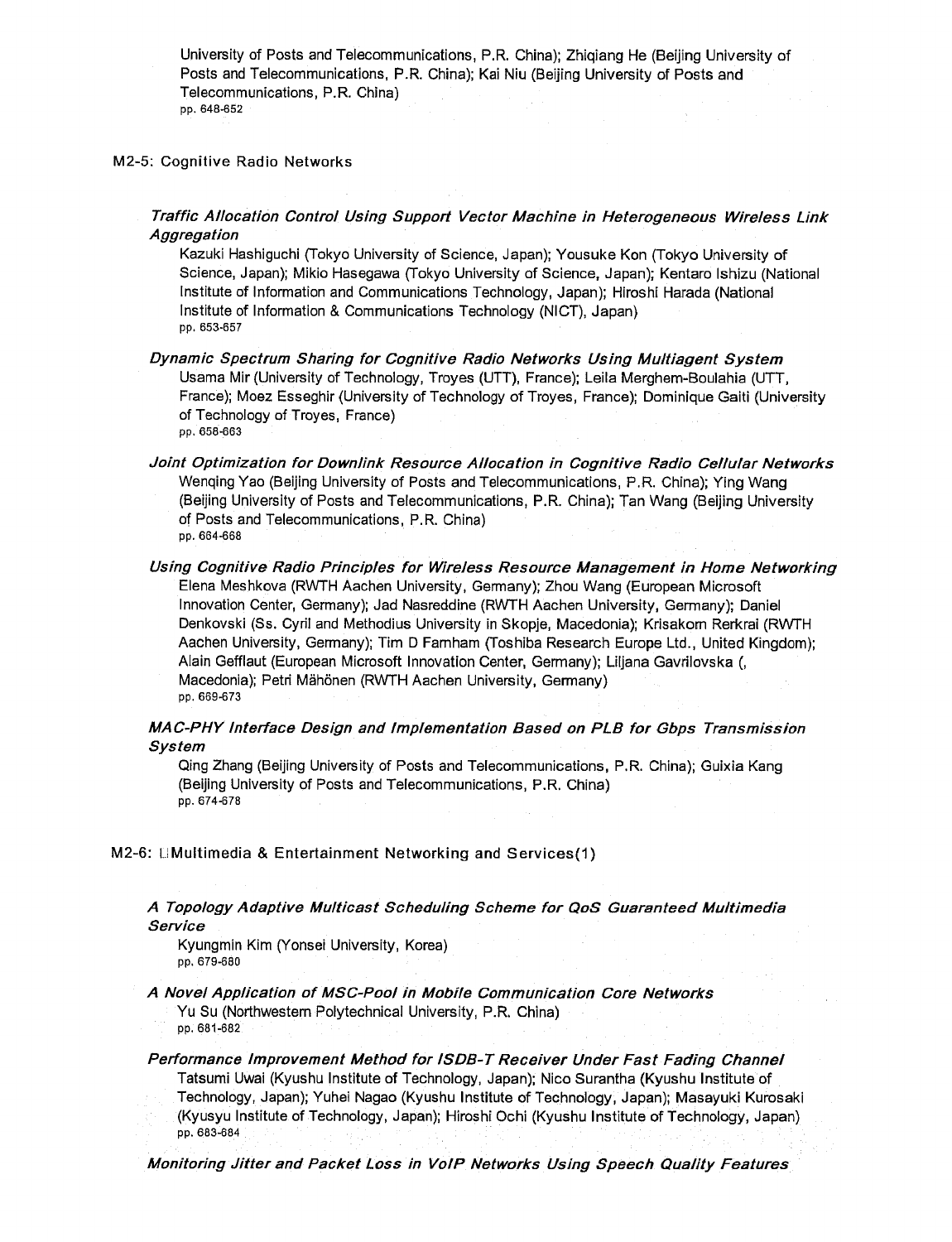University of Posts and Telecommunications, P.R. China); Zhiqiang He (Beijing University of Posts and Telecommunications, P.R. China); Kai Niu (Beijing University of Posts and Telecommunications, P.R. China) pp. 648-652

#### M2-5: Cognitive Radio Networks

Traffic Allocation Control Using Support Vector Machine in Heterogeneous Wireless Link **Aggregation** 

Kazuki Hashiguchi (Tokyo University of Science, Japan); Yousuke Kon (Tokyo University of Science, Japan); Mikio Hasegawa (Tokyo University of Science, Japan); Kentaro Ishizu (National Institute of Information and Communications Technology, Japan); Hiroshi Harada (National Institute of Information & Communications Technology (NICT), Japan) pp. 653-657

- Dynamic Spectrum Sharing for Cognitive Radio Networks Using Multiagent System Usama Mir (University of Technology, Troyes (UTT), France); Leila Merghem-Boulahia (UTT, France); Moez Esseghir (University of Technology of Troyes, France); Dominique Gaiti (University of Technology of Troyes, France) pp. 658-663
- Joint Optimization for Downlink Resource Allocation in Cognitive Radio Cellular Networks Wenqing Yao (Beijing University of Posts and Telecommunications, P.R. China); Ying Wang (Beijing University of Posts and Telecommunications, P.R. China); Tan Wang (Beijing University of Posts and Telecommunications, P.R. China) pp. 664-668
- Using Cognitive Radio Principles for Wireless Resource Management in Home Networking Elena Meshkova (RWTH Aachen University, Germany); Zhou Wang (European Microsoft Innovation Center, Germany); Jad Nasreddine (RWTH Aachen University, Germany); Daniel Denkovski (Ss. Cyril and Methodius University in Skopje, Macedonia); Krisakorn Rerkrai (RWTH Aachen University, Germany); Tim D Famham (Toshiba Research Europe Ltd., United Kingdom); Alain Gefflaut (European Microsoft Innovation Center, Germany); Liljana Gavrilovska (, Macedonia); Petri Mähönen (RWTH Aachen University, Germany) pp. 669-673

# MAC-PHY Interface Design and Implementation Based on PLB for Gbps Transmission System

Qing Zhang (Beijing University of Posts and Telecommunications, P.R. China); Guixia Kang (Beijing University of Posts and Telecommunications, P.R, China) pp. 674-678

M2-6: IJMultimedia & Entertainment Networking and Services(1)

# A Topology Adaptive Multicast Scheduling Scheme for QoS Guaranteed Multimedia Service

Kyungmin Kim (Yonsei University, Korea) pp. 679-680

A Novel Application of MSC-Pool in Mobile Communication Core Networks Yu Su (Northwestern Polytechnical University, P.R. China) pp. 681-682

Performance Improvement Method for ISDB-T Receiver Under Fast Fading Channel Tatsumi Uwai (Kyushu Institute of Technology, Japan); Nico Surantha (Kyushu Institute of Technology, Japan); Yuhei Nagao (Kyushu Institute of Technology, Japan); Masayuki Kurosaki (Kyusyu Institute of Technology, Japan); Hiroshi Ochi (Kyushu Institute of Technology, Japan) pp. 683-684

Monitoring Jitter and Packet Loss in VoIP Networks Using Speech Quality Features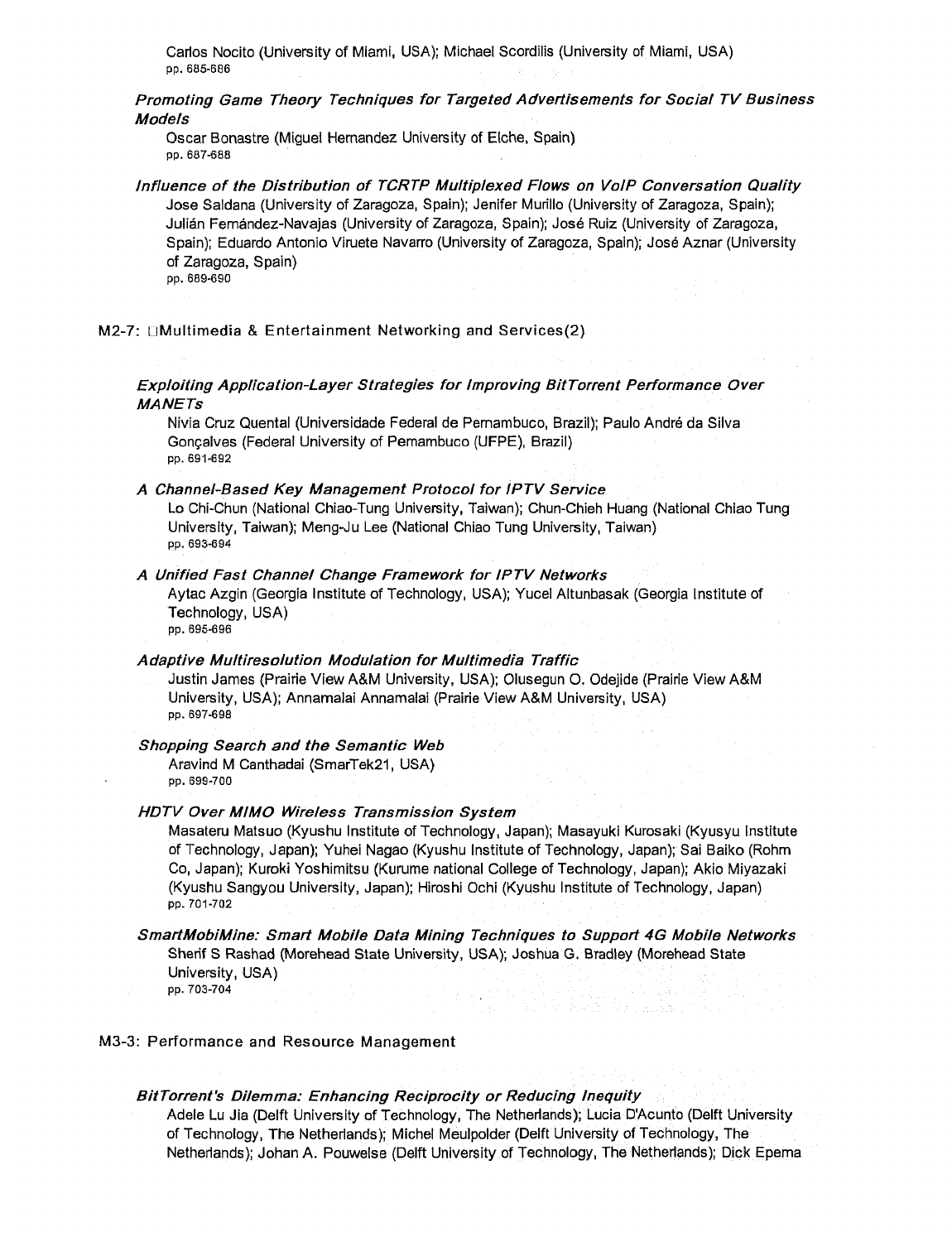Carlos Nocito (University of Miami, USA); Michael Scordilis (University of Miami, USA) pp. 685-686

Promoting Game Theory Techniques for Targeted Advertisements for Social TV Business Models

Oscar Bonastre (Miguel Hernandez University of Elche, Spain) pp. 687-688

Influence of the Distribution of TCRTP Multiplexed Flows on VoIP Conversation Quality Jose Saldana (University of Zaragoza, Spain); Jenifer Murillo (University of Zaragoza, Spain); Julian Fernandez-Navajas (University of Zaragoza, Spain); Jose Ruiz (University of Zaragoza, Spain); Eduardo Antonio Viruete Navarro (University of Zaragoza, Spain); Jose Aznar (University of Zaragoza, Spain) pp. 689-690

M2-7: **EMultimedia & Entertainment Networking and Services(2)** 

Exploiting Application-Layer Strategies for Improving BitTorrent Performance Over **MANETs** 

Nivia Cruz Quental (Universidade Federal de Pernambuco, Brazil); Paulo Andre da Silva Goncalves (Federal University of Pernambuco (UFPE), Brazil) pp. 691-692

#### A Channel-Based Key Management Protocol for IPTV Service

Lo Chi-Chun (National Chiao-Tung University, Taiwan); Chun-Chieh Huang (National Chiao Tung University, Taiwan); Meng-Ju Lee (National Chiao Tung University, Taiwan) pp. 693-694

#### A Unified Fast Channel Change Framework for IPTV Networks

Aytac Azgin (Georgia Institute of Technology, USA); Yucel Altunbasak (Georgia Institute of Technology, USA) pp. 695-696

#### Adaptive Multiresolution Modulation for Multimedia Traffic

Justin James (Prairie View A&M University, USA); Olusegun O. Odejide (Prairie View A&M University, USA); Annamalai Annamalai (Prairie View A&M University, USA) pp. 697-698

#### Shopping Search and the Semantic Web

Aravind M Canthadai (SmarTek21, USA) pp. 699-700

#### HDTV Over MIMO Wireless Transmission System

Masateru Matsuo (Kyushu Institute of Technology, Japan); Masayuki Kurosaki (Kyusyu Institute of Technology, Japan); Yuhei Nagao (Kyushu Institute of Technology, Japan); Sai Baiko (Rohm Co, Japan); Kuroki Yoshimitsu (Kurume national College of Technology, Japan); Akio Miyazaki (Kyushu Sangyou University, Japan); Hiroshi Ochi (Kyushu Institute of Technology, Japan) pp. 701-702

#### SmartMobiMine: Smart Mobile Data Mining Techniques to Support 4G Mobile Networks Sherif S Rashad (Morehead State University, USA); Joshua G. Bradley (Morehead State University, USA) pp. 703-704

ina matatan

# M3-3: Performance and Resource Management

#### BitTorrent's Dilemma: Enhancing Reciprocity or Reducing Inequity

Adele Lu Jia (Delft University of Technology, The Netherlands); Lucia D'Acunto (Delft University of Technology, The Netherlands); Michel Meulpolder (Delft University of Technology, The Netherlands); Johan A. Pouwelse (Delft University of Technology, The Netherlands); Dick Epema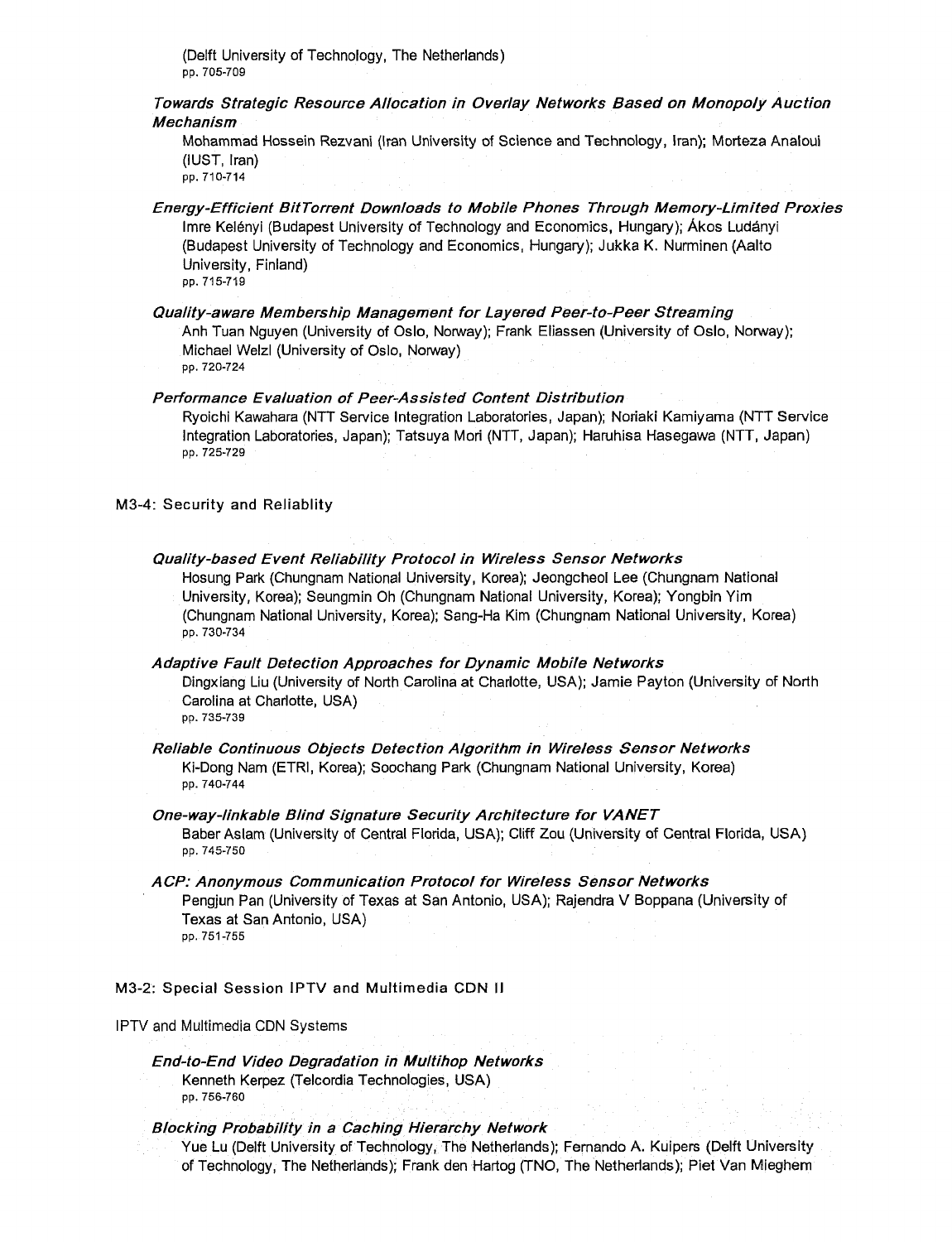(Delft University of Technology, The Netherlands) pp. 705-709

Towards Strategic Resource Allocation in Overlay Networks Based on Monopoly Auction Mechanism

Mohammad Hossein Rezvani (Iran University of Science and Technology, Iran); Morteza Analoui (IUST, Iran) pp. 710-714

Energy-Efficient BitTorrent Downloads to Mobile Phones Through Memory-Limited Proxies Imre Kelenyi (Budapest University of Technology and Economics, Hungary); Akos Ludanyi (Budapest University of Technology and Economics, Hungary); Jukka K. Nurminen (Aalto University, Finland) pp. 715-719

Quality-aware Membership Management for Layered Peer-to-Peer Streaming Anh Tuan Nguyen (University of Oslo, Norway); Frank Eliassen (University of Oslo, Norway); Michael Welzl (University of Oslo, Norway) pp. 720-724

Performance Evaluation of Peer-Assisted Content Distribution

Ryoichi Kawahara (NTT Service Integration Laboratories, Japan); Noriaki Kamiyama (NTT Service Integration Laboratories, Japan); Tatsuya Mori (NTT, Japan); Haruhisa Hasegawa (NTT, Japan) pp. 725-729

M3-4: Security and Reliablity

Quality-based Event Reliability Protocol in Wireless Sensor Networks Hosung Park (Chungnam National University, Korea); Jeongcheol Lee (Chungnam National University, Korea); Seungmin Oh (Chungnam National University, Korea); Yongbin Yim (Chungnam National University, Korea); Sang-Ha Kim (Chungnam National University, Korea) pp. 730-734

Adaptive Fault Detection Approaches for Dynamic Mobile Networks Dingxiang Liu (University of North Carolina at Charlotte, USA); Jamie Payton (University of North Carolina at Charlotte, USA)

pp. 735-739

Reliable Continuous Objects Detection Algorithm in Wireless Sensor Networks Ki-Dong Nam (ETRI, Korea); Soochang Park (Chungnam National University, Korea) pp. 740-744

One-way-linkable Blind Signature Security Architecture for VANET Baber Aslam (University of Central Florida, USA); Cliff Zou (University of Central Florida, USA) pp. 745-750

A CP: Anonymous Communication Protocol for Wireless Sensor Networks Pengjun Pan (University of Texas at San Antonio, USA); Rajendra V Boppana (University of Texas at San Antonio, USA) pp. 751-755

M3-2: Special Session IPTV and Multimedia CDN II

IPTV and Multimedia CDN Systems

End-to-End Video Degradation in Multihop Networks Kenneth Kerpez (Telcordia Technologies, USA) pp. 756-760

Blocking Probability in <sup>a</sup> Caching Hierarchy Network

Yue Lu (Delft University of Technology, The Netherlands); Fernando A. Kuipers (Delft University of Technology, The Netherlands); Frank den Hartog (TNO, The Netherlands); Piet Van Mieghem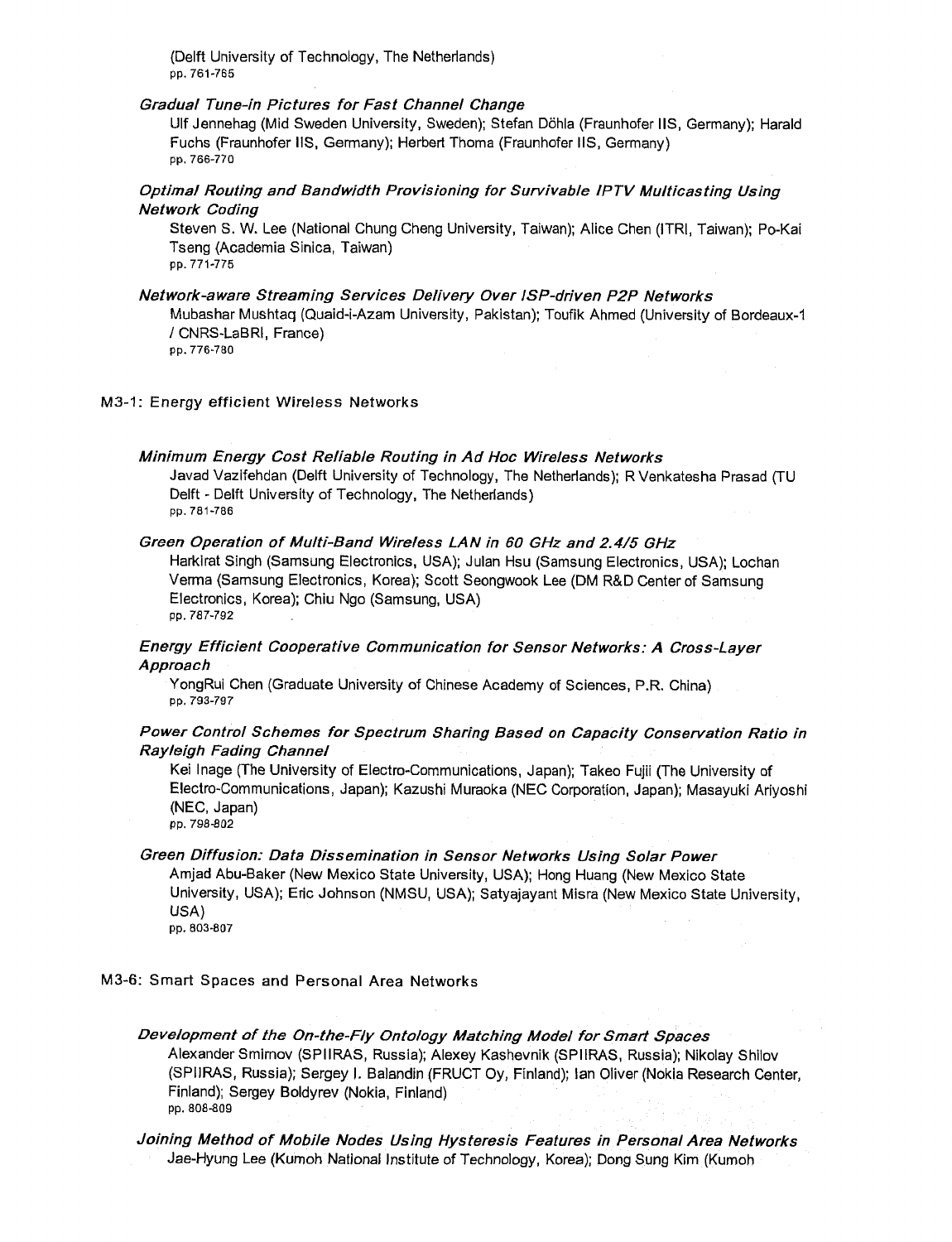(Delft University of Technology, The Netherlands) pp. 761-765

#### Gradual Tune-in Pictures for Fast Channel Change

Ulf Jennehag (Mid Sweden University, Sweden); Stefan Dohla (Fraunhofer IIS, Germany); Harald Fuchs (Fraunhofer IIS, Germany); Herbert Thoma (Fraunhofer IIS, Germany) pp. 766-770

# Optimal Routing and Bandwidth Provisioning for Survivable IPTV Multicasting Using Network Coding

Steven S. W. Lee (National Chung Cheng University, Taiwan); Alice Chen (ITRI, Taiwan); Po-Kai Tseng (Academia Sinica, Taiwan) pp. 771-775

#### Network-aware Streaming Services Delivery Over ISP-driven P2P Networks

Mubashar Mushtaq (Quaid-i-Azam University, Pakistan); Toufik Ahmed (University of Bordeaux-1 / CNRS-LaBRI, France)

pp. 776-780

#### M3-1: Energy efficient Wireless Networks

#### Minimum Energy Cost Reliable Routing in Ad Hoc Wireless Networks

Javad Vazifehdan (Delft University of Technology, The Netherlands); R Venkatesha Prasad (TU Delft - Delft University of Technology, The Netherlands) pp. 781-786

#### Green Operation of Multi-Band Wireless LAN in 60 GHz and 2.4/5 GHz

Harkirat Singh (Samsung Electronics, USA); Julan Hsu (Samsung Electronics, USA); Lochan Verma (Samsung Electronics, Korea); Scott Seongwook Lee (DM R&D Center of Samsung Electronics, Korea); Chiu Ngo (Samsung, USA) pp. 787-792

# Energy Efficient Cooperative Communication for Sensor Networks: A Cross-Layer Approach

YongRui Chen (Graduate University of Chinese Academy of Sciences, P.R. China) pp. 793-797

# Power Control Schemes for Spectrum Sharing Based on Capacity Conservation Ratio in Rayleigh Fading Channel

Kei Inage (The University of Electro-Communications, Japan); Takeo Fujii (The University of Electro-Communications, Japan); Kazushi Muraoka (NEC Corporation, Japan); Masayuki Ariyoshi (NEC, Japan) pp. 798-802

#### Green Diffusion: Data Dissemination in Sensor Networks Using Solar Power

Amjad Abu-Baker (New Mexico State University, USA); Hong Huang (New Mexico State University, USA); Eric Johnson (NMSU, USA); Satyajayant Misra (New Mexico State University, USA) pp. 803-807

#### M3-6: Smart Spaces and Personal Area Networks

Development of the On-the-Fly Ontology Matching Model for Smart Spaces Alexander Smirnov (SPIIRAS, Russia); Alexey Kashevnik (SPIIRAS, Russia); Nikolay Shilov (SPIIRAS, Russia); Sergey |. Balandin (FRUCT Oy, Finland); Ian Oliver (Nokia Research Center, Finland); Sergey Boldyrev (Nokia, Finland) pp. 808-809

Joining Method of Mobile Nodes Using Hysteresis Features in Personal Area Networks Jae-Hyung Lee (Kumoh National Institute of Technology, Korea); Dong Sung Kim (Kumoh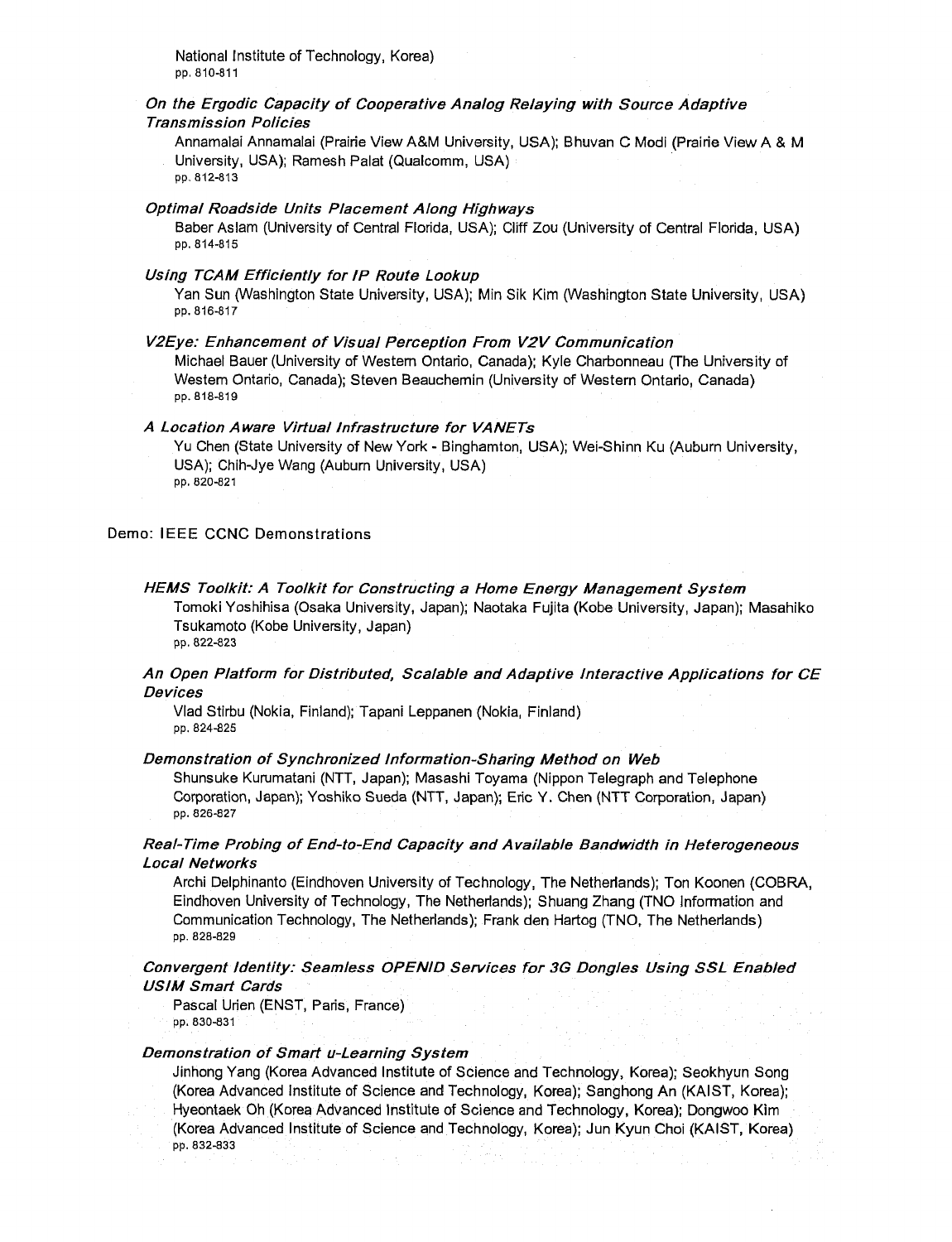National Institute of Technology, Korea) pp. 810-811

# On the Ergodic Capacity of Cooperative Analog Relaying with Source Adaptive Transmission Policies

Annamalai Annamalai (Prairie View A&M University, USA); Bhuvan C Modi (Prairie View A & M University, USA); Ramesh Palat (Qualcomm, USA)

pp. 812-813

#### Optimal Roadside Units Placement Along Highways

Baber Aslam (University of Central Florida, USA); Cliff Zou (University of Central Florida, USA) pp. 814-815

#### Using TCAM Efficiently for IP Route Lookup

Yan Sun (Washington State University, USA); Min Sik Kim (Washington State University, USA) pp. 816-817

#### V2Eye: Enhancement of Visual Perception From V2V Communication

Michael Bauer (University of Western Ontario, Canada); Kyle Charbonneau (The University of Western Ontario, Canada); Steven Beauchemin (University of Western Ontario, Canada) pp. 818-819

# A Location Aware Virtual Infrastructure for VANETs

Yu Chen (State University of New York - Binghamton, USA); Wei-Shinn Ku (Auburn University, USA); Chih-Jye Wang (Auburn University, USA) pp. 820-821

#### Demo: IEEE CCNC Demonstrations

#### HEMS Toolkit: A Toolkit for Constructing a Home Energy Management System Tomoki Yoshihisa (Osaka University, Japan); Naotaka Fujita (Kobe University, Japan); Masahiko Tsukamoto (Kobe University, Japan) pp. 822-823

# An Open Platform for Distributed, Scalable and Adaptive Interactive Applications for CE Devices

Vlad Stirbu (Nokia, Finland); Tapani Leppanen (Nokia, Finland) pp. 824-825

## Demonstration of Synchronized Information-Sharing Method on Web

Shunsuke Kurumatani (NTT, Japan); Masashi Toyama (Nippon Telegraph and Telephone Corporation, Japan); Yoshiko Sueda (NTT, Japan); Eric Y. Chen (NTT Corporation, Japan) pp. 826-827

# Real-Time Probing of End-to-End Capacity and Available Bandwidth in Heterogeneous Local Networks

Archi Delphinanto (Eindhoven University of Technology, The Netherlands); Ton Koonen (COBRA, Eindhoven University of Technology, The Netherlands); Shuang Zhang (TNO Information and Communication Technology, The Netherlands); Frank den Hartog (TNO, The Netherlands) pp. 828-829

# Convergent Identity: Seamless OPENID Services for 3G Dongles Using SSL Enabled USIM Smart Cards

Pascal Urien (ENST, Paris, France) pp. 830-831

# Demonstration of Smart u-Learning System

Jinhong Yang (Korea Advanced Institute of Science and Technology, Korea); Seokhyun Song (Korea Advanced Institute of Science and Technology, Korea); Sanghong An (KAIST, Korea); Hyeontaek Oh (Korea Advanced Institute of Science and Technology, Korea); Dongwoo Kim (Korea Advanced Institute of Science and Technology, Korea); Jun Kyun Choi (KAIST, Korea) pp. 832-833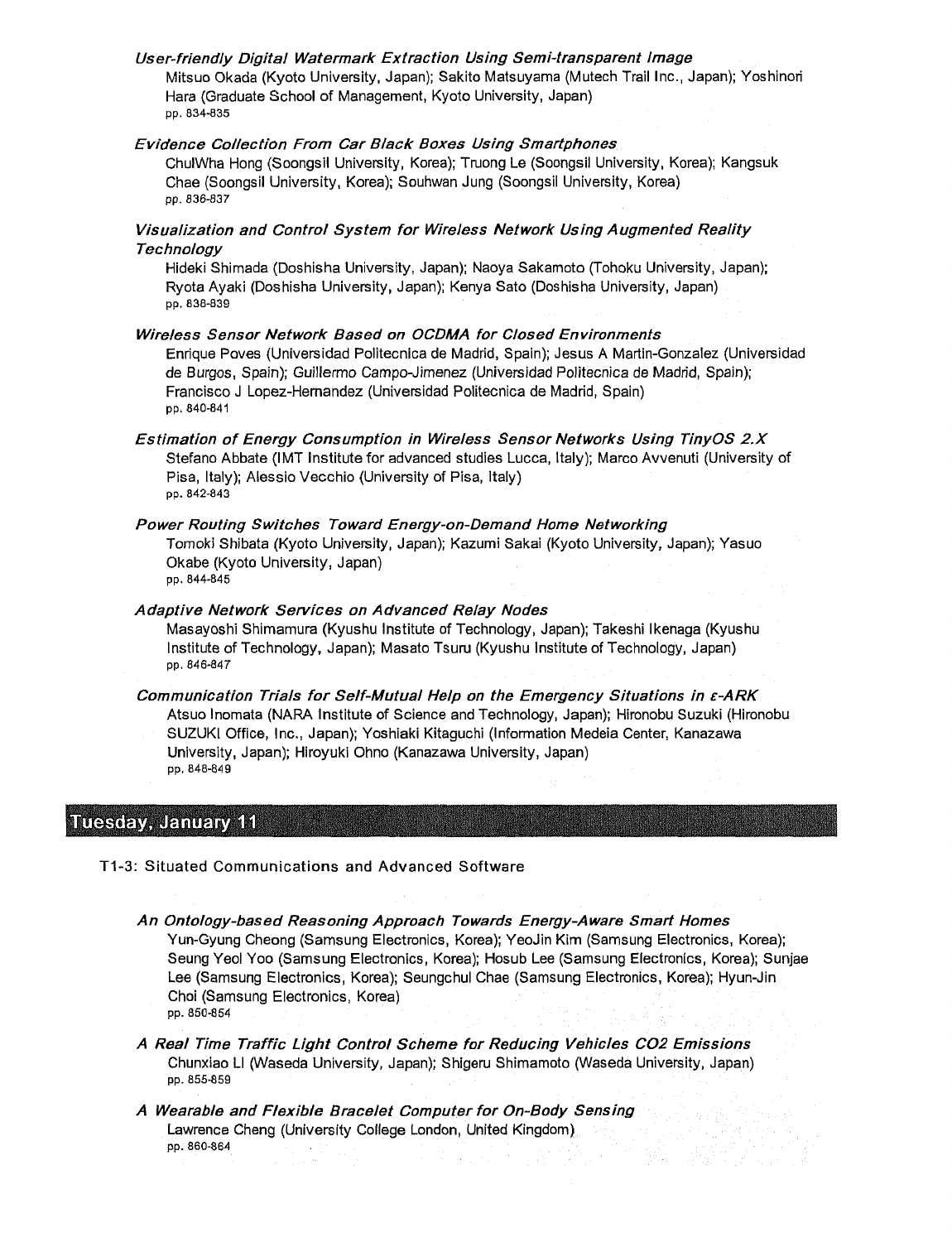# User-friendly Digital Watermark Extraction Using Semi-transparent Image Mitsuo Okada (Kyoto University, Japan); Sakito Matsuyama (Mutech Trail Inc., Japan); Yoshinori Hara (Graduate School of Management, Kyoto University, Japan) pp. 834-835

# Evidence Collection From Car Black Boxes Using Smartphones

ChulWha Hong (Soongsil University, Korea); Truong Le (Soongsil University, Korea); Kangsuk Chae (Soongsil University, Korea); Souhwan Jung (Soongsil University, Korea) pp. 836-837

# Visualization and Control System for Wireless Network Using Augmented Reality **Technology**

Hideki Shimada (Doshisha University, Japan); Naoya Sakamoto (Tohoku University, Japan); Ryota Ayaki (Doshisha University, Japan); Kenya Sato (Doshisha University, Japan) pp. 638-839

# Wireless Sensor Network Based on OCDMA for Closed Environments

Enrique Poves (Universidad Politecnica de Madrid, Spain); Jesus A Martin-Gonzalez (Universidad de Burgos, Spain); Guillermo Campo-Jimenez (Universidad Politecnica de Madrid, Spain); Francisco <sup>J</sup> Lopez-Hernandez (Universidad Politecnica de Madrid, Spain) pp. 840-841

Estimation of Energy Consumption in Wireless Sensor Networks Using TinyOS 2.X Stefano Abbate (IMT Institute for advanced studies Lucca, Italy); Marco Avvenuti (University of Pisa, Italy); Alessio Vecchio (University of Pisa, Italy) pp. 842-843

# Power Routing Switches Toward Energy-on-Demand Home Networking

Tomoki Shibata (Kyoto University, Japan); Kazumi Sakai (Kyoto University, Japan); Yasuo Okabe (Kyoto University, Japan)

pp. 844-845

# Adaptive Network Services on Advanced Relay Nodes

Masayoshi Shimamura (Kyushu Institute of Technology, Japan); Takeshi Ikenaga (Kyushu Institute of Technology, Japan); Masato Tsuru (Kyushu Institute of Technology, Japan) pp. 846-847

Communication Trials for Self-Mutual Help on the Emergency Situations in e-ARK Atsuo Inomata (NARA Institute of Science and Technology, Japan); Hironobu Suzuki (Hironobu SUZUKI Office, Inc., Japan); Yoshiaki Kitaguchi (Information Medeia Center, Kanazawa University, Japan); Hiroyuki Ohno (Kanazawa University, Japan) pp. 848-849

# Tuesday, January 11

T1-3: Situated Communications and Advanced Software

- An Ontology-based Reasoning Approach Towards Energy-Aware Smart Homes Yun-Gyung Cheong (Samsung Electronics, Korea); YeoJin Kim (Samsung Electronics, Korea); Seung Yeol Yoo (Samsung Electronics, Korea); Hosub Lee (Samsung Electronics, Korea); Sunjae Lee (Samsung Electronics, Korea); Seungchul Chae (Samsung Electronics, Korea); Hyun-Jin Choi (Samsung Electronics, Korea) pp. 850-854
- A Real Time Traffic Light Control Scheme for Reducing Vehicles C02 Emissions Chunxiao LI (Waseda University, Japan); Shigeru Shimamoto (Waseda University, Japan) pp. 855-859
- A Wearable and Flexible Bracelet Computer for On-Body Sensing Lawrence Cheng (University College London, United Kingdom) pp. 860-864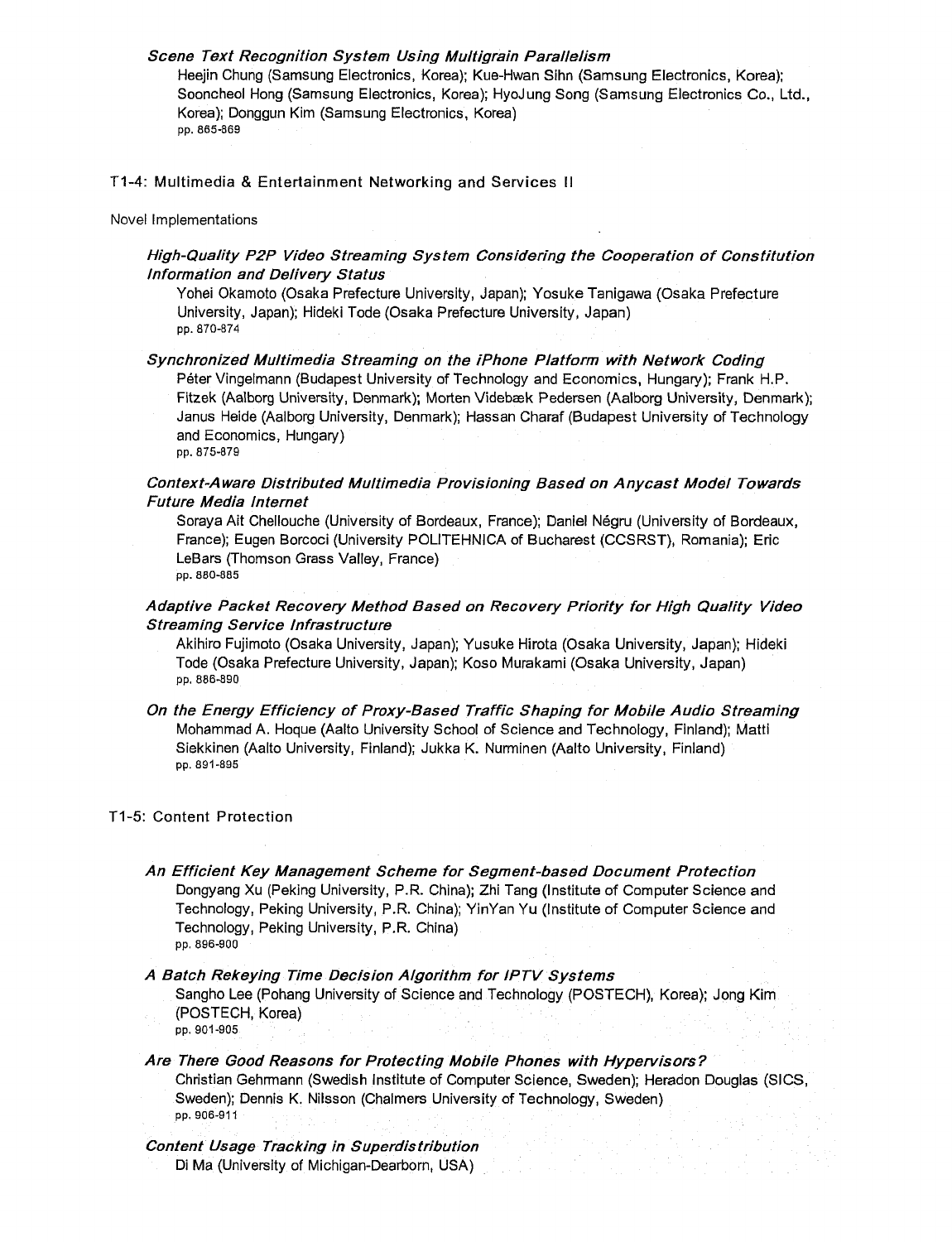# Scene Text Recognition System Using Multigrain Parallelism

Heejin Chung (Samsung Electronics, Korea); Kue-Hwan Sihn (Samsung Electronics, Korea); Sooncheol Hong (Samsung Electronics, Korea); HyoJung Song (Samsung Electronics Co., Ltd., Korea); Donggun Kim (Samsung Electronics, Korea) pp. 865-869

#### T1-4: Multimedia & Entertainment Networking and Services II

#### Novel Implementations

# High-Quality P2P Video Streaming System Considering the Cooperation of Constitution Information and Delivery Status

Yohei Okamoto (Osaka Prefecture University, Japan); Yosuke Tanigawa (Osaka Prefecture University, Japan); Hideki Tode (Osaka Prefecture University, Japan) pp. 870-874

#### Synchronized Multimedia Streaming on the /Phone Platform with Network Coding

Peter Vingelmann (Budapest University of Technology and Economics, Hungary); Frank H.P. Fitzek (Aalborg University, Denmark); Morten Videbaek Pedersen (Aalborg University, Denmark); Janus Heide (Aalborg University, Denmark); Hassan Charaf (Budapest University of Technology and Economics, Hungary)

#### pp. 875-879

# Context-Aware Distributed Multimedia Provisioning Based on Anycast Model Towards Future Media Internet

Soraya Ait Chellouche (University of Bordeaux, France); Daniel Negru (University of Bordeaux, France); Eugen Borcoci (University POLITEHNICA of Bucharest (CCSRST), Romania); Eric LeBars (Thomson Grass Valley, France) pp. 880-885

# Adaptive Packet Recovery Method Based on Recovery Priority for High Quality Video Streaming Service Infrastructure

Aklhiro Fujimoto (Osaka University, Japan); Yusuke Hirota (Osaka University, Japan); Hideki Tode (Osaka Prefecture University, Japan); Koso Murakami (Osaka University, Japan) pp. 886-890

On the Energy Efficiency of Proxy-Based Traffic Shaping for Mobile Audio Streaming Mohammad A. Hoque (Aalto University School of Science and Technology, Finland); Matti Siekkinen (Aalto University, Finland); Jukka K. Nurminen (Aalto University, Finland) pp. 891-895

#### T1-5: Content Protection

# An Efficient Key Management Scheme for Segment-based Document Protection

Dongyang Xu (Peking University, P.R. China); Zhi Tang (Institute of Computer Science and Technology, Peking University, P.R. China); YinYan Yu (Institute of Computer Science and Technology, Peking University, P.R. China) pp. 896-900

#### A Batch Rekeying Time Decision Algorithm for IPTV Systems

Sangho Lee (Pohang University of Science and Technology (POSTECH), Korea); Jong Kim (POSTECH, Korea) pp. 901-905

# Are There Good Reasons for Protecting Mobile Phones with Hypervisors ?

Christian Gehrmann (Swedish Institute of Computer Science, Sweden); Heradon Douglas (SICS, Sweden); Dennis K. Nilsson (Chalmers University of Technology, Sweden) pp. 906-911

# Content Usage Tracking in Superdistribution

Di Ma (University of Michigan-Dearborn, USA)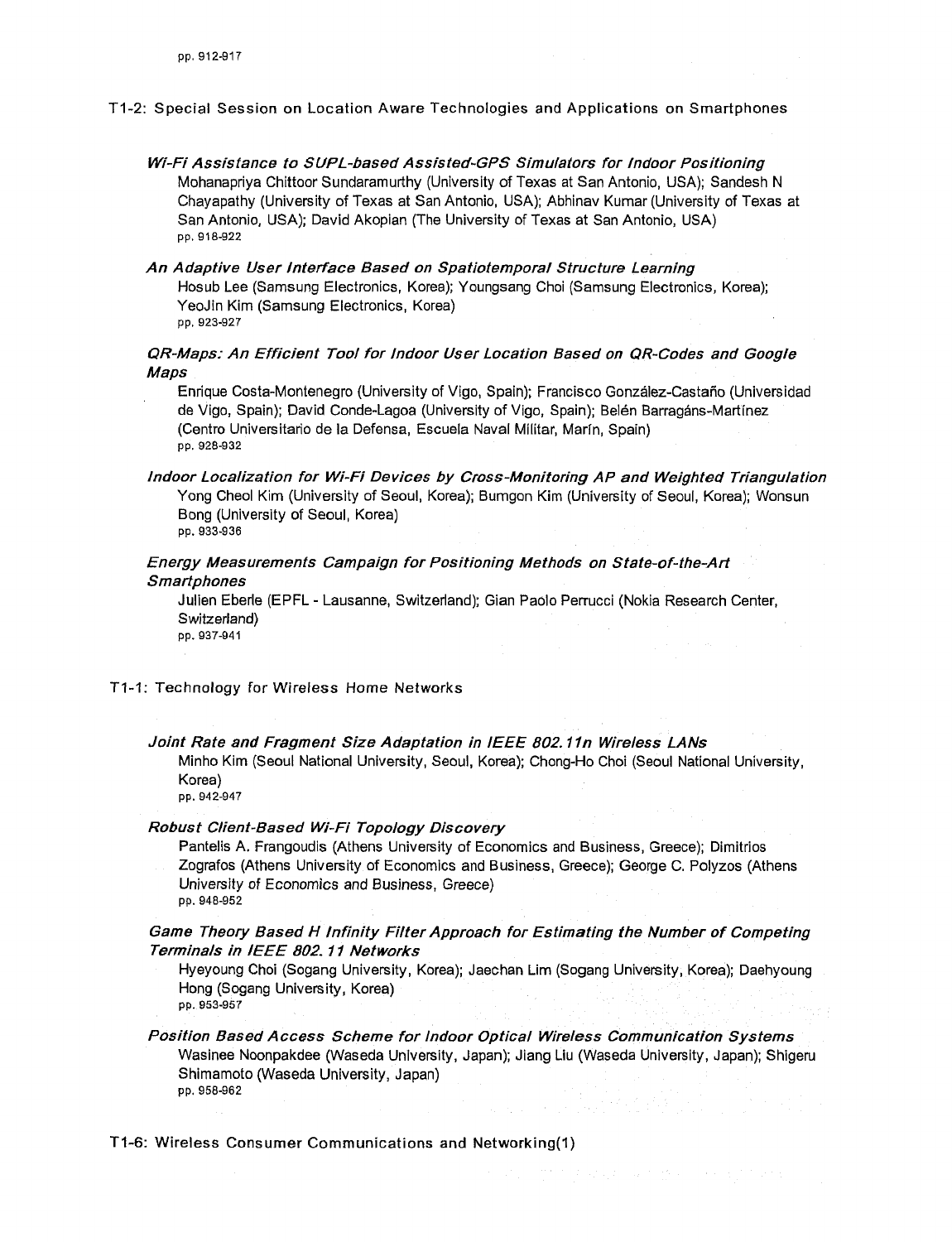#### T1-2: Special Session on Location Aware Technologies and Applications on Smartphones

- Wi-Fi Assistance to SUPL-based Assisted~GPS Simulators for Indoor Positioning Mohanapriya Chittoor Sundaramurthy (University of Texas at San Antonio, USA); Sandesh N Chayapathy (University of Texas at San Antonio, USA); Abhinav Kumar (University of Texas at San Antonio, USA); David Akopian (The University of Texas at San Antonio, USA) pp, 918-922
- An Adaptive User Interface Based on Spatiotemporal Structure Learning Hosub Lee (Samsung Electronics, Korea); Youngsang Choi (Samsung Electronics, Korea); YeoJin Kim (Samsung Electronics, Korea) pp. 923-927

# QR-Maps: An Efficient Tool for Indoor User Location Based on QR-Codes and Google Maps

Enrique Costa-Montenegro (University of Vigo, Spain); Francisco Gonzalez-Castano (Universidad de Vigo, Spain); David Conde-Lagoa (University of Vigo, Spain); Belen Barragans-Martinez (Centra Universitario de la Defensa, Escuela Naval Militar, Marfn, Spain) pp. 928-932

Indoor Localization for Wi-Fi Devices by Cross-Monitoring AP and Weighted Triangulation Yong Cheol Kim (University of Seoul, Korea); Bumgon Kim (University of Seoul, Korea); Wonsun Bong (University of Seoul, Korea) pp. 933-936

# Energy Measurements Campaign for Positioning Methods on State-of-the-Art

# **Smartphones**

Julien Eberle (EPFL - Lausanne, Switzerland); Gian Paolo Perrucci (Nokia Research Center, Switzerland) pp. 937-941

T1-1: Technology for Wireless Home Networks

#### Joint Rate and Fragment Size Adaptation in IEEE 802.11n Wireless LANs

Minho Kim (Seoul National University, Seoul, Korea); Chong-Ho Choi (Seoul National University, Korea)

pp. 942-947

#### Robust Client-Based Wi-Fi Topology Discovery

Pantelis A. Frangoudis (Athens University of Economics and Business, Greece); Dimitrios Zografos (Athens University of Economics and Business, Greece); George C. Polyzos (Athens University of Economics and Business, Greece) pp. 948-952

Game Theory Based H Infinity Filter Approach for Estimating the Number of Competing Terminals in IEEE 802.11 Networks

- Hyeyoung Choi (Sogang University, Korea); Jaechan Lim (Sogang University, Korea); Daehyoung Hong (Sogang University, Korea) pp. 953-957
- Position Based Access Scheme for Indoor Optical Wireless Communication Systems Wasinee Noonpakdee (Waseda University, Japan); Jiang Liu (Waseda University, Japan); Shigeru Shimamoto (Waseda University, Japan) pp. 958-962

T1-6: Wireless Consumer Communications and Networking(l)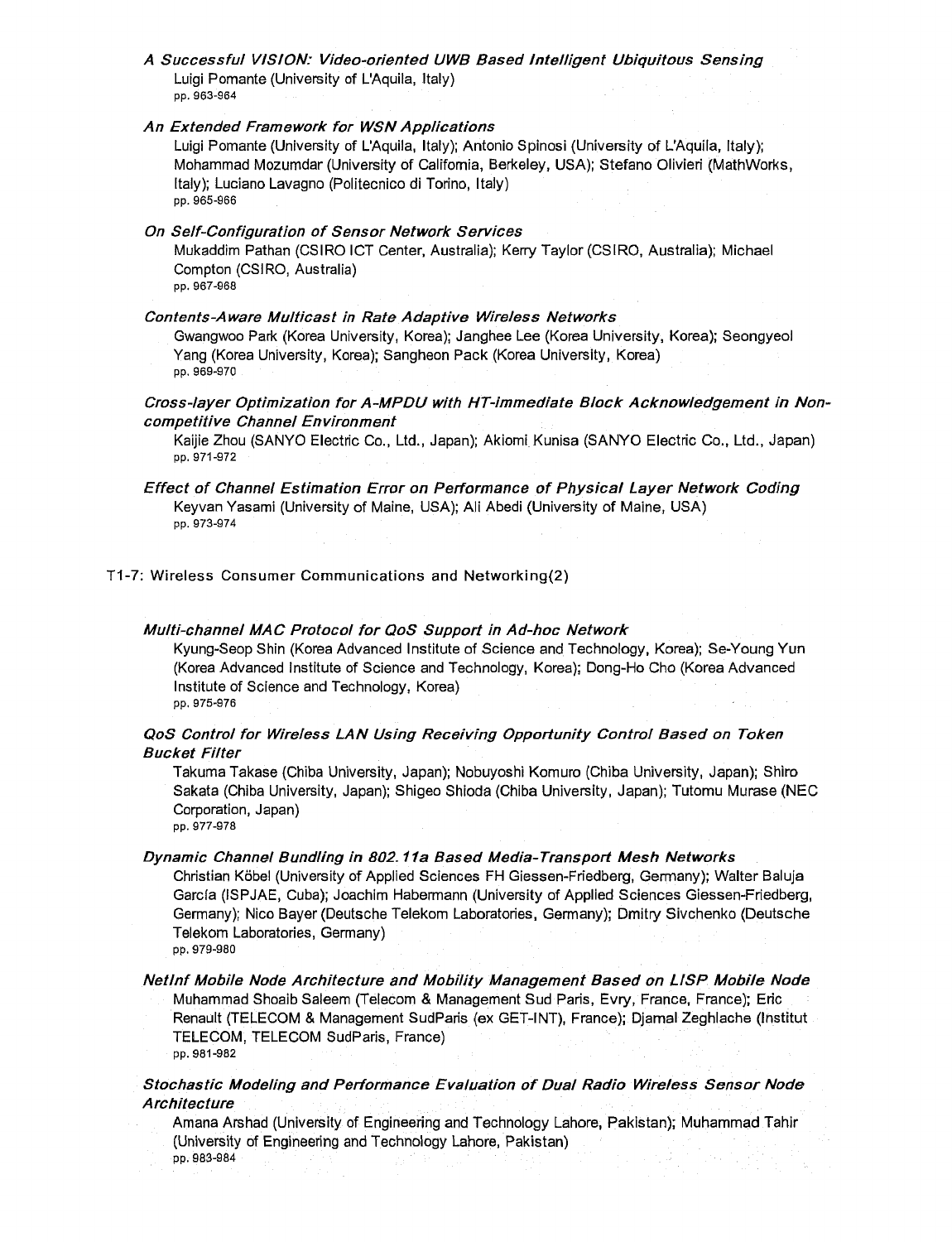A Successful VISION: Video-oriented UWB Based Intelligent Ubiquitous Sensing Luigi Pomante (University of L'Aquila, Italy) pp. 963-964

#### An Extended Framework for WSN Applications

Luigi Pomante (University of L'Aquila, Italy); Antonio Spinosi (University of L'Aquila, Italy); Mohammad Mozumdar (University of California, Berkeley, USA); Stefano Olivieri (MathWorks, Italy); Luciano Lavagno (Politecnico di Torino, Italy) pp. 965-966

#### On Self-Configuration of Sensor Network Services

Mukaddim Pathan (CSIRO ICT Center, Australia); Kerry Taylor (CSIRO, Australia); Michael Compton (CSIRO, Australia)

pp. 967-968

#### Contents-Aware Multicast in Rate Adaptive Wireless Networks

Gwangwoo Park (Korea University, Korea); Janghee Lee (Korea University, Korea); Seongyeol Yang (Korea University, Korea); Sangheon Pack (Korea University, Korea) pp. 969-970

# Cross-layer Optimization for A-MPDU with HT-immediate Block Acknowledgement in Non competitive Channel Environment

Kaijie Zhou (SANYO Electric Co., Ltd., Japan); Akiomi Kunisa (SANYO Electric Co., Ltd., Japan) pp. 971-972

# Effect of Channel Estimation Error on Performance of Physical Layer Network Coding Keyvan Yasami (University of Maine, USA); Ali Abedi (University of Maine, USA) pp. 973-974

# T1-7: Wireless Consumer Communications and Networking(2)

#### Multi-channel MAC Protocol for QoS Support in Ad-hoc Network

Kyung-Seop Shin (Korea Advanced Institute of Science and Technology, Korea); Se-Young Yun (Korea Advanced Institute of Science and Technology, Korea); Dong-Ho Cho (Korea Advanced Institute of Science and Technology, Korea) pp. 975-976

# QoS Control for Wireless LAN Using Receiving Opportunity Control Based on Token Bucket Filter

Takuma Takase (Chiba University, Japan); Nobuyoshi Komuro (Chiba University, Japan); Shiro Sakata (Chiba University, Japan); Shigeo Shioda (Chiba University, Japan); Tutomu Murase (NEC Corporation, Japan) pp. 977-978

## Dynamic Channel Bundling in 802.11a Based Media-Transport Mesh Networks

Christian Köbel (University of Applied Sciences FH Giessen-Friedberg, Germany); Walter Baluja Garcia (ISPJAE, Cuba); Joachim Habermann (University of Applied Sciences Giessen-Friedberg, Germany); Nico Bayer (Deutsche Telekom Laboratories, Germany); Dmitry Sivchenko (Deutsche Telekom Laboratories, Germany)

pp. 979-980

Netlnf Mobile Node Architecture and Mobility Management Based on LISP Mobile Node Muhammad Shoaib Saleem (Telecom & Management Sud Paris, Evry, France, France); Eric Renault (TELECOM & Management SudParis (ex GET-INT), France); Djamal Zeghlache (Institut TELECOM, TELECOM SudParis, France) pp. 981-982

# Stochastic Modeling and Performance Evaluation of Dual Radio Wireless Sensor Node **Architecture**

Amana Arshad (University of Engineering and Technology Lahore, Pakistan); Muhammad Tahir (University of Engineering and Technology Lahore, Pakistan)

pp. 983-984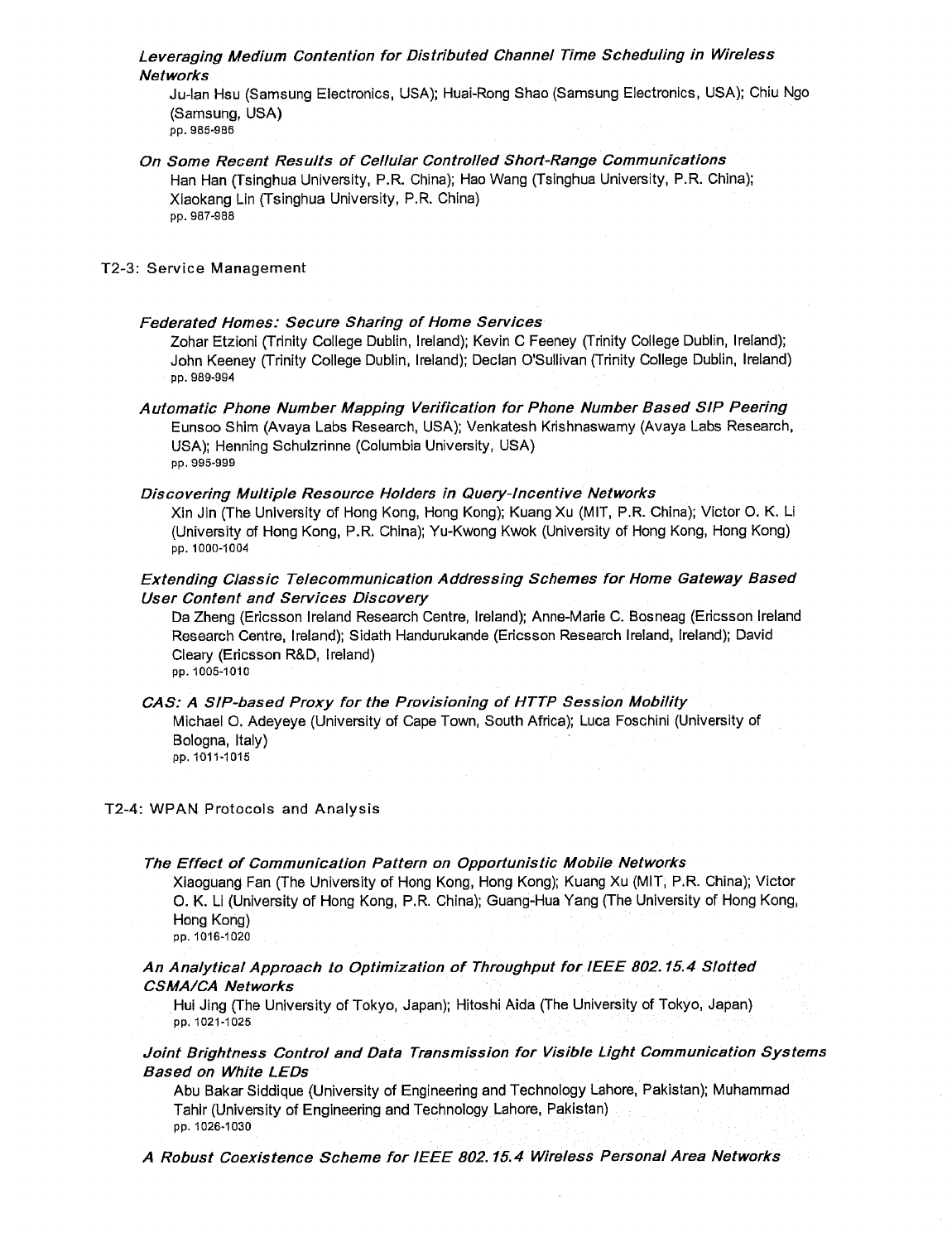# Leveraging Medium Contention for Distributed Channel Time Scheduling in Wireless Networks

Ju-lan Hsu (Samsung Electronics, USA); Huai-Rong Shao (Samsung Electronics, USA); Chiu Ngo (Samsung, USA) pp. 985-986

On Some Recent Results of Cellular Controlled Short-Range Communications Han Han (Tsinghua University, P.R. China); Hao Wang (Tsinghua University, P.R. China); Xiaokang Lin (Tsinghua University, P.R. China) pp. 987-988

#### T2-3: Service Management

#### Federated Homes: Secure Sharing of Home Services

Zohar Etzioni (Trinity College Dublin, Ireland); Kevin C Feeney (Trinity College Dublin, Ireland); John Keeney (Trinity College Dublin, Ireland); Declan O'Sullivan (Trinity College Dublin, Ireland) pp. 989-994

Automatic Phone Number Mapping Verification for Phone Number Based SIP Peering Eunsoo Shim (Avaya Labs Research, USA); Venkatesh Krishnaswamy (Avaya Labs Research, USA); Henning Schulzrinne (Columbia University, USA) pp. 995-999

#### Discovering Multiple Resource Holders in Query-Incentive Networks

Xin Jin (The University of Hong Kong, Hong Kong); Kuang Xu (MIT, P.R. China); Victor O. K. Li (University of Hong Kong, P.R. China); Yu-Kwong Kwok (University of Hong Kong, Hong Kong) pp. 1000-1004

# Extending Classic Telecommunication Addressing Schemes for Home Gateway Based User Content and Services Discovery

Da Zheng (Ericsson Ireland Research Centre, Ireland); Anne-Marie C. Bosneag (Ericsson Ireland Research Centre, Ireland); Sidath Handurukande (Ericsson Research Ireland, Ireland); David Cleary (Ericsson R&D, Ireland) pp. 1005-1010

# CAS: A SIP-based Proxy for the Provisioning of HTTP Session Mobility Michael O. Adeyeye (University of Cape Town, South Africa); Luca Foschini (University of Bologna, Italy)

pp. 1011-1015

# T2-4: WPAN Protocols and Analysis

# The Effect of Communication Pattern on Opportunistic Mobile Networks

Xiaoguang Fan (The University of Hong Kong, Hong Kong); Kuang Xu (MIT, P.R. China); Victor O. K. Li (University of Hong Kong, P.R. China); Guang-Hua Yang (The University of Hong Kong, Hong Kong) pp. 1016-1020

# An Analytical Approach to Optimization of Throughput for IEEE 802.15.4 Slotted CSMA/CA Networks

Hui Jing (The University of Tokyo, Japan); Hitoshi Aida (The University of Tokyo, Japan) pp, 1021-1025

# Joint Brightness Control and Data Transmission for Visible Light Communication Systems Based on White LEDs

Abu Bakar Siddique (University of Engineering and Technology Lahore, Pakistan); Muhammad Tahir (University of Engineering and Technology Lahore, Pakistan) pp. 1026-1030

A Robust Coexistence Scheme for IEEE 802.15.4 Wireless Personal Area Networks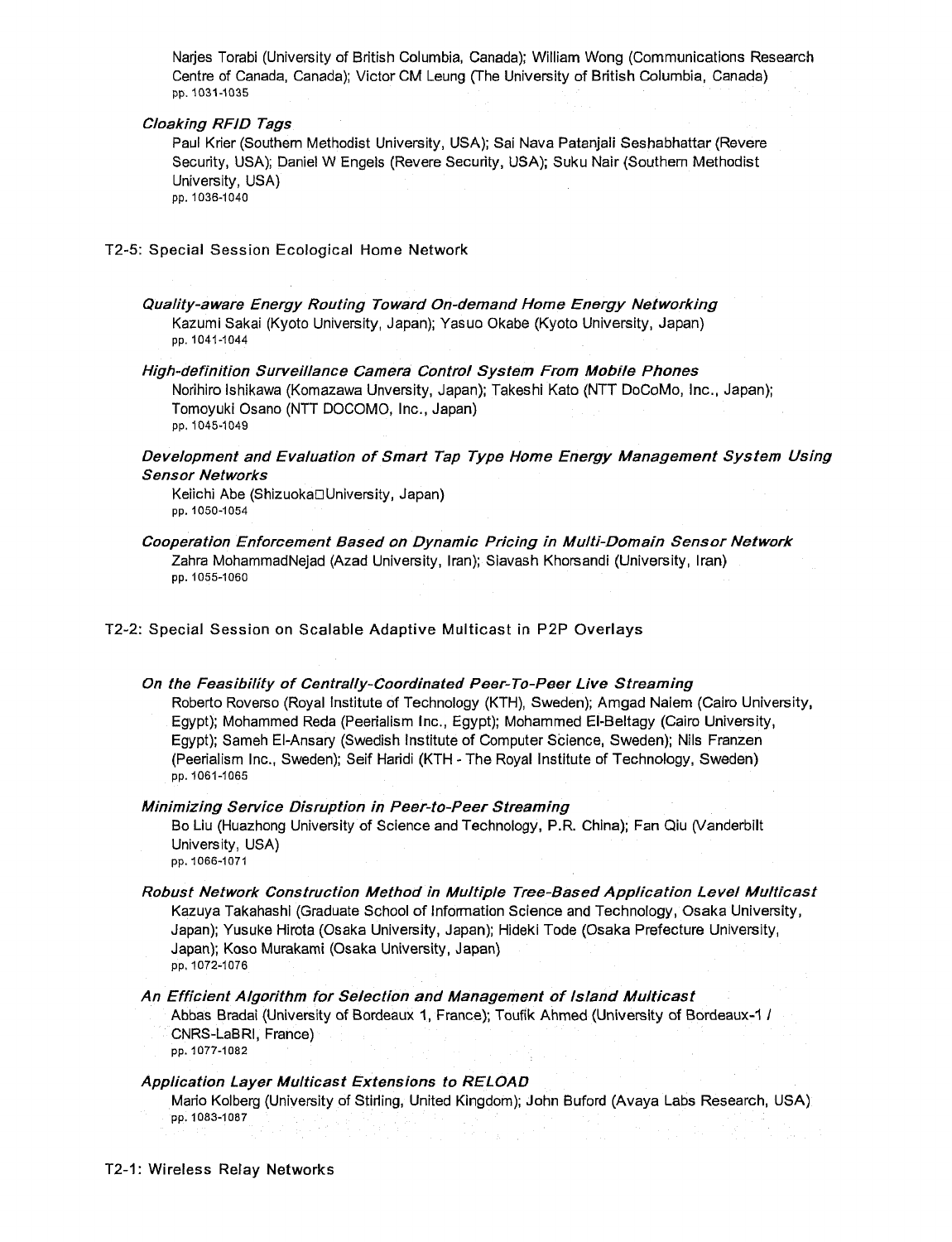Narjes Torabi (University of British Columbia, Canada); William Wong (Communications Research Centre of Canada, Canada); Victor CM Leung (The University of British Columbia, Canada) pp. 1031-1035

#### Cloaking RFID Tags

Paul Krier (Southern Methodist University, USA); Sai Nava Patanjali Seshabhattar (Revere Security, USA); Daniel W Engels (Revere Security, USA); Suku Nair (Southern Methodist University, USA) pp. 1036-1040

#### T2-5: Special Session Ecological Home Network

- Quality-aware Energy Routing Toward On-demand Home Energy Networking Kazumi Sakai (Kyoto University, Japan); Yasuo Okabe (Kyoto University, Japan) pp. 1041-1044
- High-definition Surveillance Camera Control System From Mobile Phones Norihiro Ishikawa (Komazawa Unversity, Japan); Takeshi Kato (NTT DoCoMo, Inc., Japan); Tomoyuki Osano (NTT DOCOMO, Inc., Japan) pp. 1045-1049

# Development and Evaluation of Smart Tap Type Home Energy Management System Using Sensor Networks

Keiichi Abe (Shizuoka⊡University, Japan) pp. 1050-1054

Cooperation Enforcement Based on Dynamic Pricing in Multi-Domain Sensor Network Zahra MohammadNejad (Azad University, Iran); Siavash Khorsandi (University, Iran) pp. 1055-1060

T2-2: Special Session on Scalable Adaptive Multicast in P2P Overlays

# On the Feasibility of Centrally-Coordinated Peer-To-Peer Live Streaming Roberto Roverso (Royal Institute of Technology (KTH), Sweden); Amgad Naiem (Cairo University, Egypt); Mohammed Reda (Peerialism Inc., Egypt); Mohammed El-Beltagy (Cairo University, Egypt); Sameh El-Ansary (Swedish Institute of Computer Science, Sweden); Nils Franzen (Peerialism Inc., Sweden); Seif Haridi (KTH - The Royal Institute of Technology, Sweden) pp. 1061-1065

#### Minimizing Service Disruption in Peer-to-Peer Streaming

Bo Liu (Huazhong University of Science and Technology, P.R. China); Fan Qiu (Vanderbilt University, USA) pp. 1066-1071

Robust Network Construction Method in Multiple Tree-Based Application Level Multicast Kazuya Takahashi (Graduate School of Information Science and Technology, Osaka University, Japan); Yusuke Hirota (Osaka University, Japan); Hideki Tode (Osaka Prefecture University, Japan); Koso Murakami (Osaka University, Japan) pp, 1072-1076

#### An Efficient Algorithm for Selection and Management of Island Multicast

Abbas Bradai (University of Bordeaux 1, France); Toufik Ahmed (University of Bordeaux-1 / CNRS-LaBRI, France)

pp. 1077-1082

# Application Layer Multicast Extensions to RELOAD

Mario Kolberg (University of Stirling, United Kingdom); John Buford (Avaya Labs Research, USA) pp. 1083-1087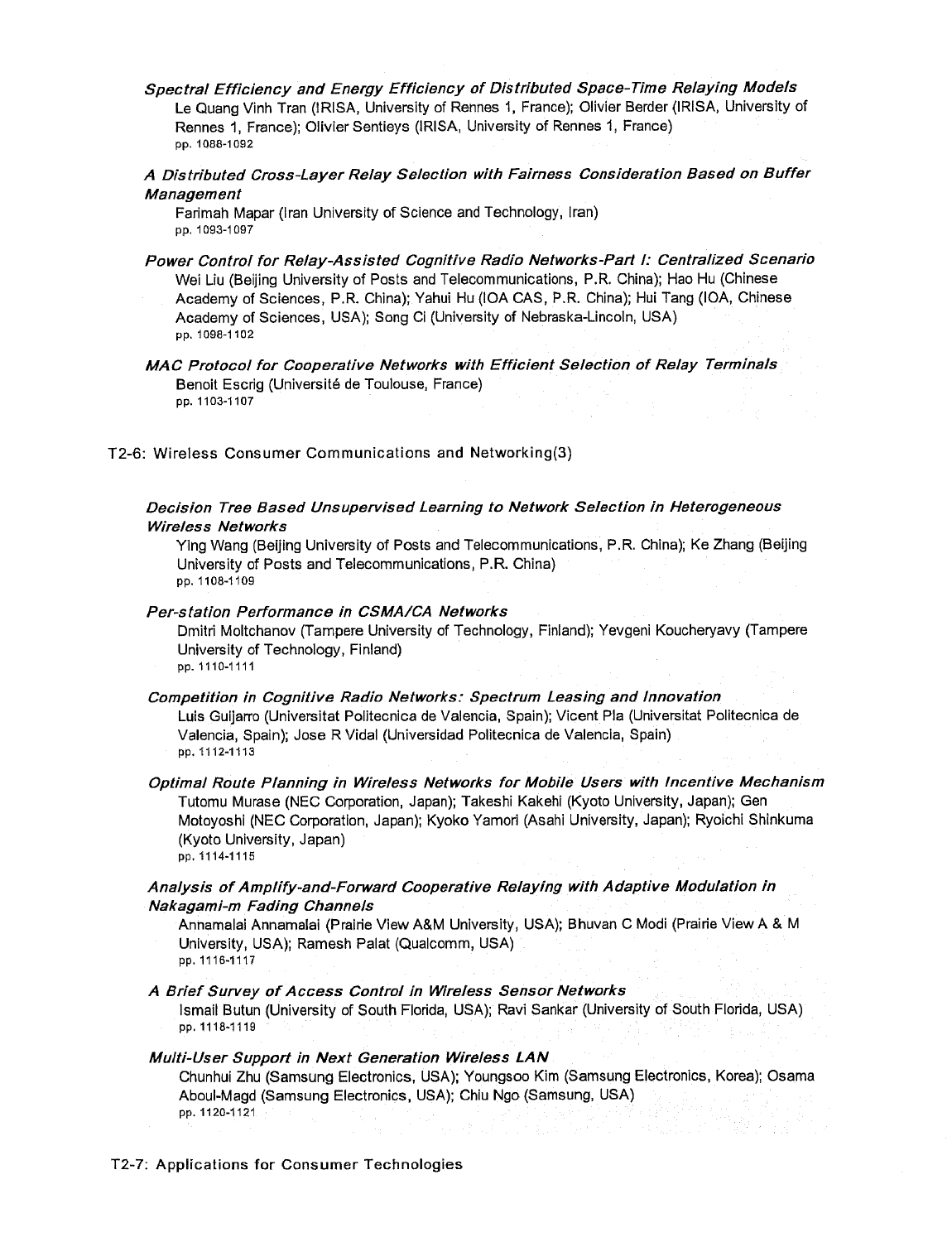- Spectral Efficiency and Energy Efficiency of Distributed Space-Time Relaying Models Le Quang Vinh Tran (IRISA, University of Rennes 1, France); Olivier Berder (IRISA, University of Rennes 1, France); Olivier Sentieys (IRISA, University of Rennes 1, France) pp. 1088-1092
- A Distributed Cross-Layer Relay Selection with Fairness Consideration Based on Buffer Management

Farimah Mapar (Iran University of Science and Technology, Iran) pp. 1093-1097

Power Control for Relay-Assisted Cognitive Radio Networks-Part I: Centralized Scenario Wei Liu (Beijing University of Posts and Telecommunications, P.R. China); Hao Hu (Chinese Academy of Sciences, P.R. China); Yahui Hu (IOA CAS, P.R. China); Hui Tang (IOA, Chinese Academy of Sciences, USA); Song Ci (University of Nebraska-Lincoln, USA) pp. 1098-1102

MAC Protocol for Cooperative Networks with Efficient Selection of Relay Terminals Benoit Escrig (Université de Toulouse, France) pp. 1103-1107

T2-6: Wireless Consumer Communications and Networking(3)

# Decision Tree Based Unsupervised Learning to Network Selection in Heterogeneous Wireless Networks

Ying Wang (Beijing University of Posts and Telecommunications, P.R. China); Ke Zhang (Beijing University of Posts and Telecommunications, P.R. China) pp. 1108-1109

# Per-station Performance in CSMA/CA Networks

Dmitri Moltchanov (Tampere University of Technology, Finland); Yevgeni Koucheryavy (Tampere University of Technology, Finland) pp. 1110-1111

Competition in Cognitive Radio Networks: Spectrum Leasing and Innovation

Luis Guijarro (Universitat Politecnica de Valencia, Spain); Vicent Pla (Universitat Politecnica de Valencia, Spain); Jose R Vidal (Universidad Politecnica de Valencia, Spain) pp. 1112-1113

Optimal Route Planning in Wireless Networks for Mobile Users with Incentive Mechanism Tutomu Murase (NEC Corporation, Japan); Takeshi Kakehi (Kyoto University, Japan); Gen Motoyoshi (NEC Corporation, Japan); Kyoko Yamori (Asahi University, Japan); Ryoichi Shinkuma (Kyoto University, Japan)

pp. 1114-1115

# Analysis of Amplify-and-Forward Cooperative Relaying with Adaptive Modulation in Nakagami-m Fading Channels

Annamalai Annamalai (Prairie View A&M University, USA); Bhuvan C Modi (Prairie View A & M University, USA); Ramesh Palat (Qualcomm, USA) pp. 1116-1117

# A Brief Survey of Access Control in Wireless Sensor Networks

Ismail Butun (University of South Florida, USA); Ravi Sankar (University of South Florida, USA) pp. 1118-1119

# Multi-User Support in Next Generation Wireless LAN

Chunhui Zhu (Samsung Electronics, USA); Youngsoo Kim (Samsung Electronics, Korea); Osama Aboul-Magd (Samsung Electronics, USA); Chiu Ngo (Samsung, USA) pp. 1120-1121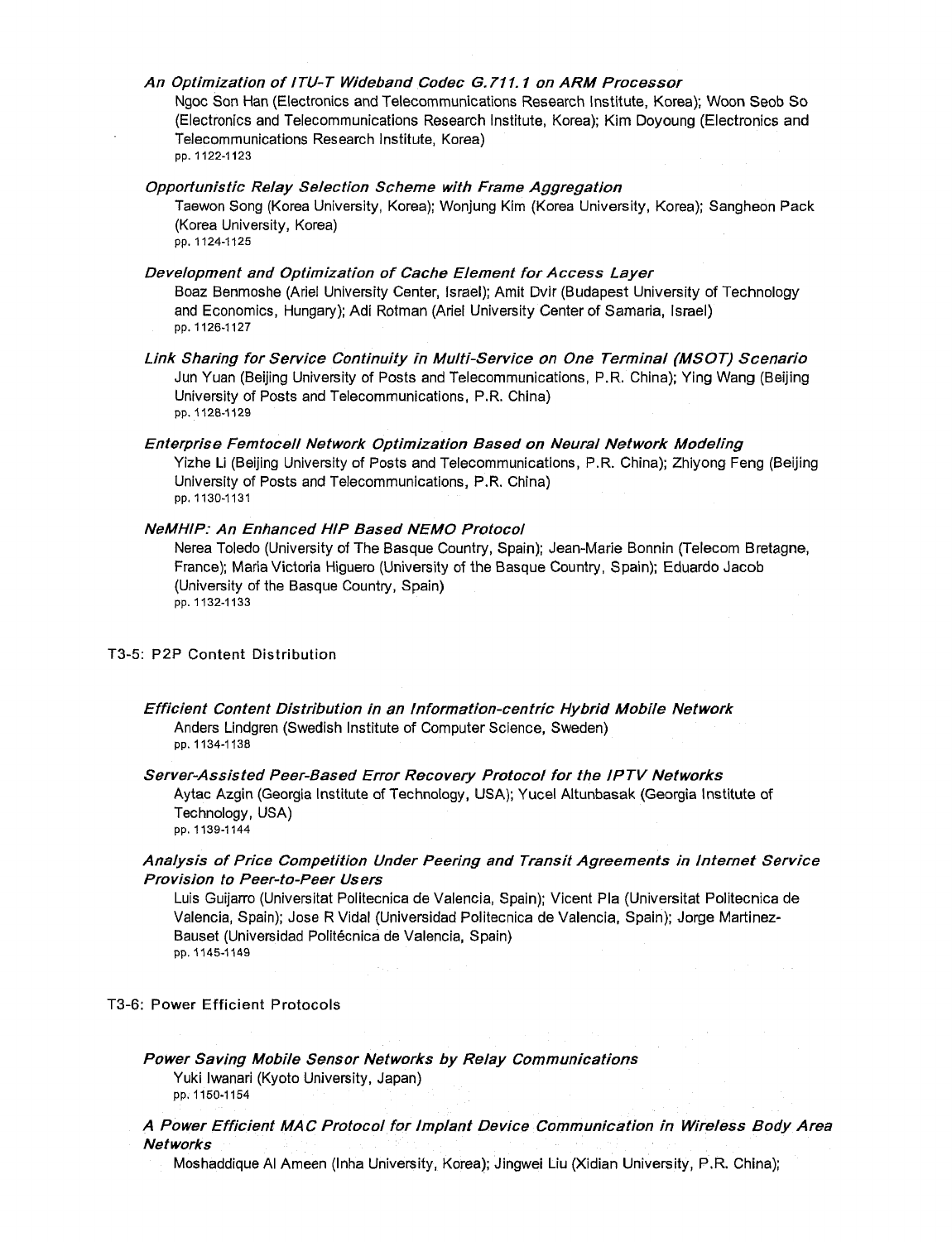An Optimization of ITU-T Wideband Codec G.711.1 on ARM Processor

Ngoc Son Han (Electronics and Telecommunications Research Institute, Korea); Woon Seob So (Electronics and Telecommunications Research Institute, Korea); Kim Doyoung (Electronics and Telecommunications Research Institute, Korea) pp. 1122-1123

# Opportunistic Relay Selection Scheme with Frame Aggregation

Taewon Song (Korea University, Korea); Wonjung Kim (Korea University, Korea); Sangheon Pack (Korea University, Korea)

pp. 1124-1125

#### Development and Optimization of Cache Element for Access Layer

Boaz Benmoshe (Ariel University Center, Israel); Amit Dvir (Budapest University of Technology and Economics, Hungary); Adi Rotman (Ariel University Center of Samaria, Israel) pp. 1126-1127

- Link Sharing for Service Continuity in Multi-Service on One Terminal (MSOT) Scenario Jun Yuan (Beijing University of Posts and Telecommunications, P.R. China); Ying Wang (Beijing University of Posts and Telecommunications, P.R. China) pp. 1128-1129
- Enterprise Femtocell Network Optimization Based on Neural Network Modeling Yizhe Li (Beijing University of Posts and Telecommunications, P.R. China); Zhiyong Feng (Beijing University of Posts and Telecommunications, P.R. China) pp. 1130-1131

#### NeMHIP: An Enhanced HIP Based NEMO Protocol

Nerea Toledo (University of The Basque Country, Spain); Jean-Marie Bonnin (Telecom Bretagne, France); Maria Victoria Higuero (University of the Basque Country, Spain); Eduardo Jacob (University of the Basque Country, Spain) pp. 1132-1133

#### T3-5: P2P Content Distribution

Efficient Content Distribution in an Information-centric Hybrid Mobile Network Anders Lindgren (Swedish Institute of Computer Science, Sweden) pp. 1134-1138

# Server-Assisted Peer-Based Error Recovery Protocol for the IPTV Networks

Aytac Azgin (Georgia Institute of Technology, USA); Yucel Altunbasak (Georgia Institute of Technology, USA)

pp. 1139-1144

# Analysis of Price Competition Under Peering and Transit Agreements in Internet Service Provision to Peer-to-Peer Users

Luis Guijarro (Universitat Politecnica de Valencia, Spain); Vicent Pla (Universitat Politecnica de Valencia, Spain); Jose RVidal (Universidad Politecnica de Valencia, Spain); Jorge Martinez-Bauset (Universidad Politécnica de Valencia, Spain) pp. 1145-1149

#### T3-6: Power Efficient Protocols

# Power Saving Mobile Sensor Networks by Relay Communications

Yuki Iwanari (Kyoto University, Japan) pp. 1150-1154

# A Power Efficient MAC Protocol for Implant Device Communication in Wireless Body Area **Networks**

Moshaddique Al Ameen (Inha University, Korea); Jingwei Liu (Xidian University, P.R. China);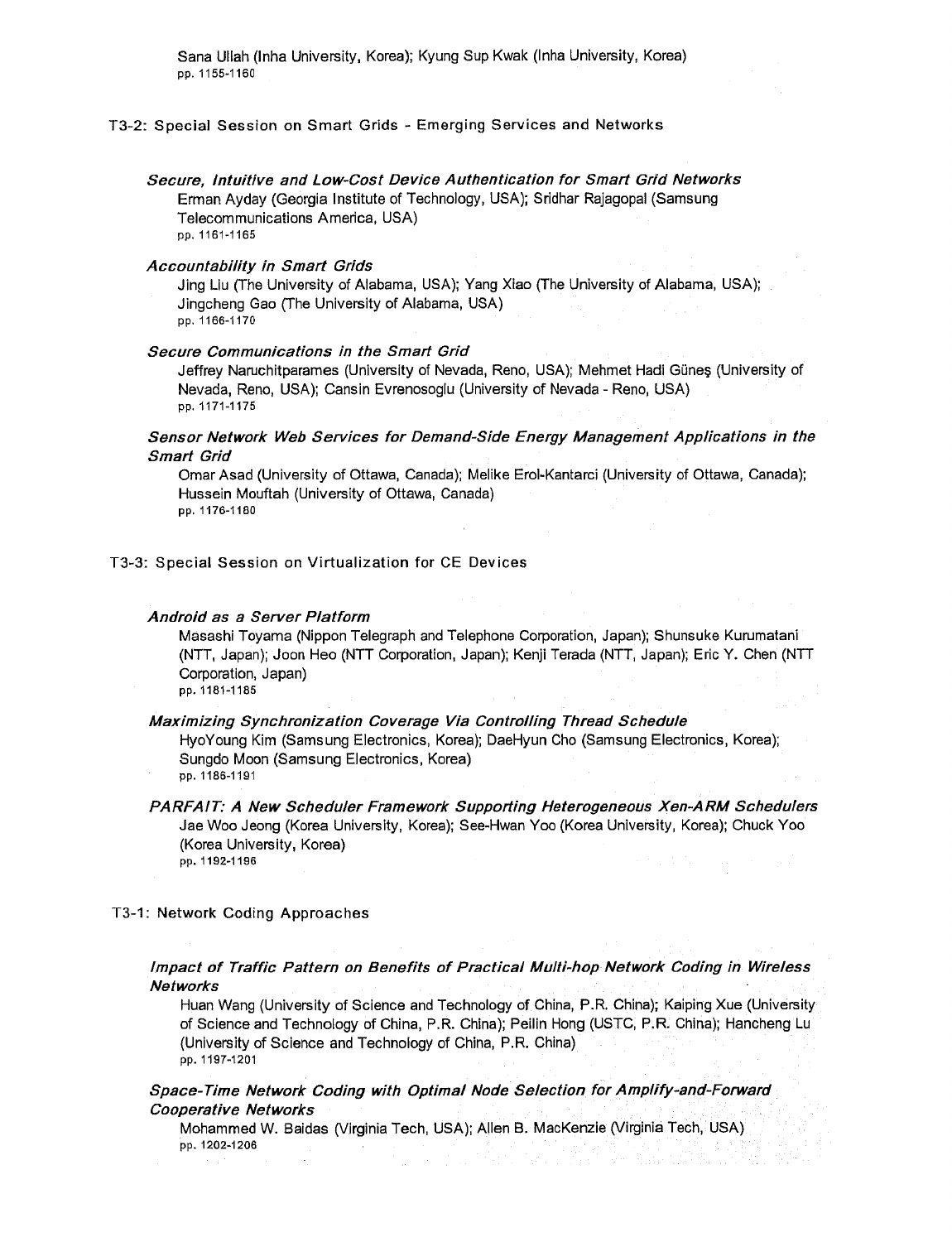Sana Ullah (Inha University, Korea); Kyung Sup Kwak (Inha University, Korea) pp. 1155-1160

#### T3-2: Special Session on Smart Grids - Emerging Services and Networks

# Secure, Intuitive and Low-Cost Device Authentication for Smart Grid Networks

Erman Ayday (Georgia Institute of Technology, USA); Sridhar Rajagopal (Samsung Telecommunications America, USA) pp. 1161-1165

#### Accountability in Smart Grids

Jing Liu (The University of Alabama, USA); Yang Xiao (The University of Alabama, USA); Jingcheng Gao (The University of Alabama, USA) pp. 1166-1170

#### Secure Communications in the Smart Grid

Jeffrey Naruchitparames (University of Nevada, Reno, USA); Mehmet Hadi Gune§ (University of Nevada, Reno, USA); Cansin Evrenosoglu (University of Nevada - Reno, USA) pp. 1171-1175

# Sensor Network Web Services for Demand-Side Energy Management Applications in the Smart Grid

Omar Asad (University of Ottawa, Canada); Melike Erol-Kantarci (University of Ottawa, Canada); Hussein Mouftah (University of Ottawa, Canada) pp. 1176-1180

#### T3-3: Special Session on Virtualization for CE Devices

#### Android as a Server Platform

Masashi Toyama (Nippon Telegraph and Telephone Corporation, Japan); Shunsuke Kurumatani (NTT, Japan); Joon Heo (NTT Corporation, Japan); Kenji Terada (NTT, Japan); Eric Y. Chen (NTT Corporation, Japan) pp. 1181-1185

#### Maximizing Synchronization Coverage Via Controlling Thread Schedule

HyoYoung Kim (Samsung Electronics, Korea); DaeHyun Cho (Samsung Electronics, Korea); Sungdo Moon (Samsung Electronics, Korea) pp. 1186-1191

PARFAIT: A New Scheduler Framework Supporting Heterogeneous Xen-ARM Schedulers Jae Woo Jeong (Korea University, Korea); See-Hwan Yoo (Korea University, Korea); Chuck Yoo (Korea University, Korea) pp. 1192-1196

#### T3-1: Network Coding Approaches

# Impact of Traffic Pattern on Benefits of Practical Multi-hop Network Coding in Wireless Networks

Huan Wang (University of Science and Technology of China, P.R. China); Kaiping Xue (University of Science and Technology of China, P.R. China); Peilin Hong (USTC, P.R. China); Hancheng Lu (University of Science and Technology of China, P.R. China) pp. 1197-1201

Space-Time Network Coding with Optimal Node Selection for Amplify-and-Forward Cooperative Networks

Mohammed W. Baidas (Virginia Tech, USA); Allen B. MacKenzie (Virginia Tech, USA) pp. 1202-1206